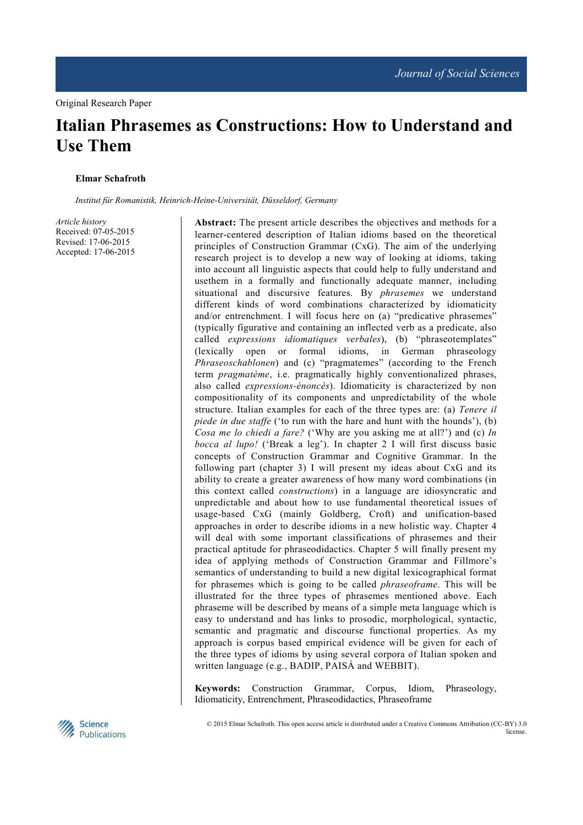# **Italian Phrasemes as Constructions: How to Understand and Use Them**

#### **Elmar Schafroth**

*Institut für Romanistik, Heinrich-Heine-Universität, Düsseldorf, Germany*

*Article history*  Received: 07-05-2015 Revised: 17-06-2015 Accepted: 17-06-2015 **Abstract:** The present article describes the objectives and methods for a learner-centered description of Italian idioms based on the theoretical principles of Construction Grammar (CxG). The aim of the underlying research project is to develop a new way of looking at idioms, taking into account all linguistic aspects that could help to fully understand and usethem in a formally and functionally adequate manner, including situational and discursive features. By *phrasemes* we understand different kinds of word combinations characterized by idiomaticity and/or entrenchment. I will focus here on (a) "predicative phrasemes" (typically figurative and containing an inflected verb as a predicate, also called *expressions idiomatiques verbales*), (b) "phraseotemplates" (lexically open or formal idioms, in German phraseology *Phraseoschablonen*) and (c) "pragmatemes" (according to the French term *pragmatème*, i.e. pragmatically highly conventionalized phrases, also called *expressions-énoncés*). Idiomaticity is characterized by non compositionality of its components and unpredictability of the whole structure. Italian examples for each of the three types are: (a) *Tenere il piede in due staffe* ('to run with the hare and hunt with the hounds'), (b) *Cosa me lo chiedi a fare?* ('Why are you asking me at all?') and (c) *In bocca al lupo!* ('Break a leg'). In chapter 2 I will first discuss basic concepts of Construction Grammar and Cognitive Grammar. In the following part (chapter 3) I will present my ideas about CxG and its ability to create a greater awareness of how many word combinations (in this context called *constructions*) in a language are idiosyncratic and unpredictable and about how to use fundamental theoretical issues of usage-based CxG (mainly Goldberg, Croft) and unification-based approaches in order to describe idioms in a new holistic way. Chapter 4 will deal with some important classifications of phrasemes and their practical aptitude for phraseodidactics. Chapter 5 will finally present my idea of applying methods of Construction Grammar and Fillmore's semantics of understanding to build a new digital lexicographical format for phrasemes which is going to be called *phraseoframe*. This will be illustrated for the three types of phrasemes mentioned above. Each phraseme will be described by means of a simple meta language which is easy to understand and has links to prosodic, morphological, syntactic, semantic and pragmatic and discourse functional properties. As my approach is corpus based empirical evidence will be given for each of the three types of idioms by using several corpora of Italian spoken and written language (e.g., BADIP, PAISÀ and WEBBIT).

**Keywords:** Construction Grammar, Corpus, Idiom, Phraseology, Idiomaticity, Entrenchment, Phraseodidactics, Phraseoframe



 © 2015 Elmar Schafroth. This open access article is distributed under a Creative Commons Attribution (CC-BY) 3.0 license.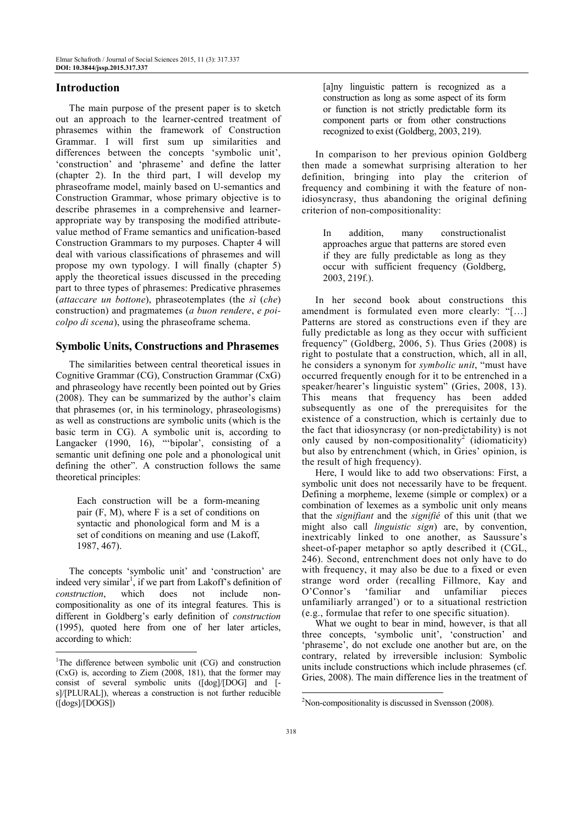# **Introduction**

The main purpose of the present paper is to sketch out an approach to the learner-centred treatment of phrasemes within the framework of Construction Grammar. I will first sum up similarities and differences between the concepts 'symbolic unit', 'construction' and 'phraseme' and define the latter (chapter 2). In the third part, I will develop my phraseoframe model, mainly based on U-semantics and Construction Grammar, whose primary objective is to describe phrasemes in a comprehensive and learnerappropriate way by transposing the modified attributevalue method of Frame semantics and unification-based Construction Grammars to my purposes. Chapter 4 will deal with various classifications of phrasemes and will propose my own typology. I will finally (chapter 5) apply the theoretical issues discussed in the preceding part to three types of phrasemes: Predicative phrasemes (*attaccare un bottone*), phraseotemplates (the *sì* (*che*) construction) and pragmatemes (*a buon rendere*, *e poicolpo di scena*), using the phraseoframe schema.

#### **Symbolic Units, Constructions and Phrasemes**

The similarities between central theoretical issues in Cognitive Grammar (CG), Construction Grammar (CxG) and phraseology have recently been pointed out by Gries (2008). They can be summarized by the author's claim that phrasemes (or, in his terminology, phraseologisms) as well as constructions are symbolic units (which is the basic term in CG). A symbolic unit is, according to Langacker (1990, 16), "'bipolar', consisting of a semantic unit defining one pole and a phonological unit defining the other". A construction follows the same theoretical principles:

Each construction will be a form-meaning pair (F, M), where F is a set of conditions on syntactic and phonological form and M is a set of conditions on meaning and use (Lakoff, 1987, 467).

The concepts 'symbolic unit' and 'construction' are indeed very similar<sup>1</sup>, if we part from Lakoff's definition of *construction*, which does not include noncompositionality as one of its integral features. This is different in Goldberg's early definition of *construction* (1995), quoted here from one of her later articles, according to which:

 $\overline{a}$ 

[a]ny linguistic pattern is recognized as a construction as long as some aspect of its form or function is not strictly predictable form its component parts or from other constructions recognized to exist (Goldberg, 2003, 219).

In comparison to her previous opinion Goldberg then made a somewhat surprising alteration to her definition, bringing into play the criterion of frequency and combining it with the feature of nonidiosyncrasy, thus abandoning the original defining criterion of non-compositionality:

In addition, many constructionalist approaches argue that patterns are stored even if they are fully predictable as long as they occur with sufficient frequency (Goldberg, 2003, 219f.).

In her second book about constructions this amendment is formulated even more clearly: "[…] Patterns are stored as constructions even if they are fully predictable as long as they occur with sufficient frequency" (Goldberg, 2006, 5). Thus Gries (2008) is right to postulate that a construction, which, all in all, he considers a synonym for *symbolic unit*, "must have occurred frequently enough for it to be entrenched in a speaker/hearer's linguistic system" (Gries, 2008, 13). This means that frequency has been added subsequently as one of the prerequisites for the existence of a construction, which is certainly due to the fact that idiosyncrasy (or non-predictability) is not only caused by non-compositionality<sup>2</sup> (idiomaticity) but also by entrenchment (which, in Gries' opinion, is the result of high frequency).

Here, I would like to add two observations: First, a symbolic unit does not necessarily have to be frequent. Defining a morpheme, lexeme (simple or complex) or a combination of lexemes as a symbolic unit only means that the *signifiant* and the *signifié* of this unit (that we might also call *linguistic sign*) are, by convention, inextricably linked to one another, as Saussure's sheet-of-paper metaphor so aptly described it (CGL, 246). Second, entrenchment does not only have to do with frequency, it may also be due to a fixed or even strange word order (recalling Fillmore, Kay and O'Connor's 'familiar and unfamiliar pieces unfamiliarly arranged') or to a situational restriction (e.g., formulae that refer to one specific situation).

What we ought to bear in mind, however, is that all three concepts, 'symbolic unit', 'construction' and 'phraseme', do not exclude one another but are, on the contrary, related by irreversible inclusion: Symbolic units include constructions which include phrasemes (cf. Gries, 2008). The main difference lies in the treatment of

<sup>&</sup>lt;sup>1</sup>The difference between symbolic unit  $(CG)$  and construction (CxG) is, according to Ziem (2008, 181), that the former may consist of several symbolic units ([dog]/[DOG] and [ s]/[PLURAL]), whereas a construction is not further reducible ([dogs]/[DOGS])

<sup>2</sup>Non-compositionality is discussed in Svensson (2008).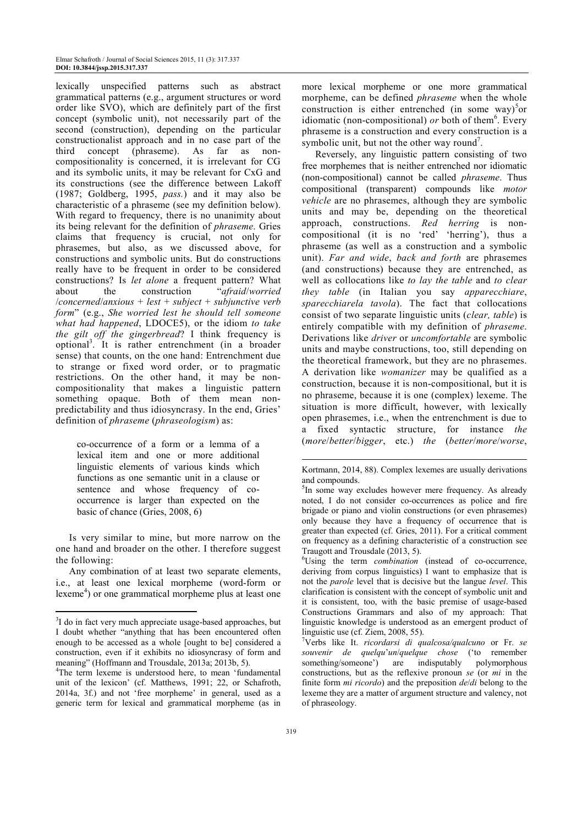lexically unspecified patterns such as abstract grammatical patterns (e.g., argument structures or word order like SVO), which are definitely part of the first concept (symbolic unit), not necessarily part of the second (construction), depending on the particular constructionalist approach and in no case part of the third concept (phraseme). As far as noncompositionality is concerned, it is irrelevant for CG and its symbolic units, it may be relevant for CxG and its constructions (see the difference between Lakoff (1987; Goldberg, 1995, *pass.*) and it may also be characteristic of a phraseme (see my definition below). With regard to frequency, there is no unanimity about its being relevant for the definition of *phraseme*. Gries claims that frequency is crucial, not only for phrasemes, but also, as we discussed above, for constructions and symbolic units. But do constructions really have to be frequent in order to be considered constructions? Is *let alone* a frequent pattern? What about the construction "*afraid*/*worried*  /*concerned*/*anxious* + *lest* + *subject* + *subjunctive verb form*" (e.g., *She worried lest he should tell someone what had happened*, LDOCE5), or the idiom *to take the gilt off the gingerbread*? I think frequency is optional<sup>3</sup> . It is rather entrenchment (in a broader sense) that counts, on the one hand: Entrenchment due to strange or fixed word order, or to pragmatic restrictions. On the other hand, it may be noncompositionality that makes a linguistic pattern something opaque. Both of them mean nonpredictability and thus idiosyncrasy. In the end, Gries' definition of *phraseme* (*phraseologism*) as:

co-occurrence of a form or a lemma of a lexical item and one or more additional linguistic elements of various kinds which functions as one semantic unit in a clause or sentence and whose frequency of cooccurrence is larger than expected on the basic of chance (Gries, 2008, 6)

Is very similar to mine, but more narrow on the one hand and broader on the other. I therefore suggest the following:

Any combination of at least two separate elements, i.e., at least one lexical morpheme (word-form or lexeme<sup>4</sup>) or one grammatical morpheme plus at least one

 $\overline{a}$ 

more lexical morpheme or one more grammatical morpheme, can be defined *phraseme* when the whole construction is either entrenched (in some way)<sup>5</sup> or idiomatic (non-compositional) or both of them<sup>6</sup>. Every phraseme is a construction and every construction is a symbolic unit, but not the other way round<sup>7</sup>.

Reversely, any linguistic pattern consisting of two free morphemes that is neither entrenched nor idiomatic (non-compositional) cannot be called *phraseme*. Thus compositional (transparent) compounds like *motor vehicle* are no phrasemes, although they are symbolic units and may be, depending on the theoretical approach, constructions. *Red herring* is noncompositional (it is no 'red' 'herring'), thus a phraseme (as well as a construction and a symbolic unit). *Far and wide*, *back and forth* are phrasemes (and constructions) because they are entrenched, as well as collocations like *to lay the table* and *to clear they table* (in Italian you say *apparecchiare*, *sparecchiarela tavola*). The fact that collocations consist of two separate linguistic units (*clear, table*) is entirely compatible with my definition of *phraseme*. Derivations like *driver* or *uncomfortable* are symbolic units and maybe constructions, too, still depending on the theoretical framework, but they are no phrasemes. A derivation like *womanizer* may be qualified as a construction, because it is non-compositional, but it is no phraseme, because it is one (complex) lexeme. The situation is more difficult, however, with lexically open phrasemes, i.e., when the entrenchment is due to a fixed syntactic structure, for instance *the* (*more*/*better*/*bigger*, etc.) *the* (*better*/*more*/*worse*,

 $\overline{a}$ 

<sup>&</sup>lt;sup>3</sup>I do in fact very much appreciate usage-based approaches, but I doubt whether "anything that has been encountered often enough to be accessed as a whole [ought to be] considered a construction, even if it exhibits no idiosyncrasy of form and meaning" (Hoffmann and Trousdale, 2013a; 2013b, 5).

<sup>&</sup>lt;sup>4</sup>The term lexeme is understood here, to mean 'fundamental unit of the lexicon' (cf. Matthews, 1991; 22, or Schafroth, 2014a, 3f.) and not 'free morpheme' in general, used as a generic term for lexical and grammatical morpheme (as in

Kortmann, 2014, 88). Complex lexemes are usually derivations and compounds.

<sup>&</sup>lt;sup>5</sup>In some way excludes however mere frequency. As already noted, I do not consider co-occurrences as police and fire brigade or piano and violin constructions (or even phrasemes) only because they have a frequency of occurrence that is greater than expected (cf. Gries, 2011). For a critical comment on frequency as a defining characteristic of a construction see Traugott and Trousdale (2013, 5).

<sup>6</sup>Using the term *combination* (instead of co-occurrence, deriving from corpus linguistics) I want to emphasize that is not the *parole* level that is decisive but the langue *level*. This clarification is consistent with the concept of symbolic unit and it is consistent, too, with the basic premise of usage-based Constructions Grammars and also of my approach: That linguistic knowledge is understood as an emergent product of linguistic use (cf. Ziem, 2008, 55).

<sup>7</sup>Verbs like It. *ricordarsi di qualcosa/qualcuno* or Fr. *se souvenir de quelqu*'*un*/*quelque chose* ('to remember something/someone') are indisputably polymorphous constructions, but as the reflexive pronoun *se* (or *mi* in the finite form *mi ricordo*) and the preposition *de*/*di* belong to the lexeme they are a matter of argument structure and valency, not of phraseology.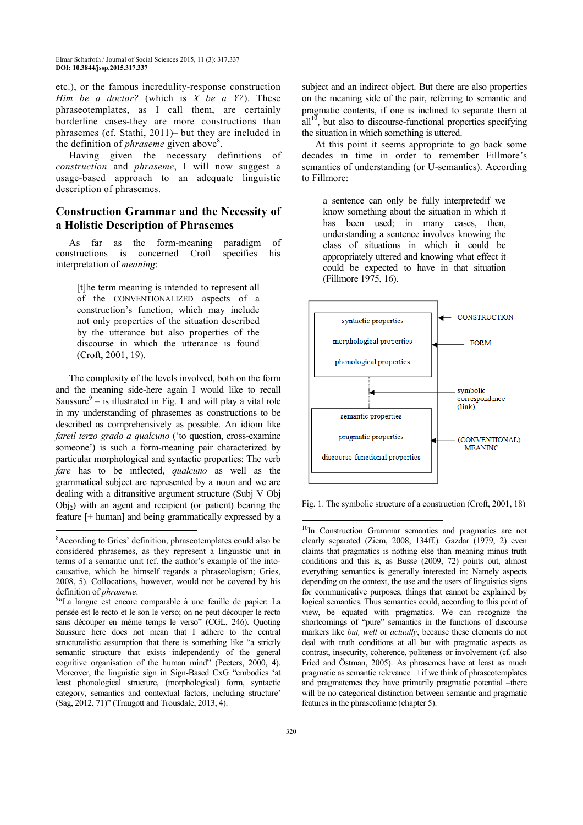etc.), or the famous incredulity-response construction *Him be a doctor?* (which is *X be a Y?*). These phraseotemplates, as I call them, are certainly borderline cases-they are more constructions than phrasemes (cf. Stathi, 2011)– but they are included in the definition of *phraseme* given above<sup>8</sup>.

Having given the necessary definitions of *construction* and *phraseme*, I will now suggest a usage-based approach to an adequate linguistic description of phrasemes.

# **Construction Grammar and the Necessity of a Holistic Description of Phrasemes**

As far as the form-meaning paradigm of constructions is concerned Croft specifies his interpretation of *meaning*:

[t]he term meaning is intended to represent all of the CONVENTIONALIZED aspects of a construction's function, which may include not only properties of the situation described by the utterance but also properties of the discourse in which the utterance is found (Croft, 2001, 19).

The complexity of the levels involved, both on the form and the meaning side-here again I would like to recall Saussure $9 -$  is illustrated in Fig. 1 and will play a vital role in my understanding of phrasemes as constructions to be described as comprehensively as possible. An idiom like *fareil terzo grado a qualcuno* ('to question, cross-examine someone') is such a form-meaning pair characterized by particular morphological and syntactic properties: The verb *fare* has to be inflected, *qualcuno* as well as the grammatical subject are represented by a noun and we are dealing with a ditransitive argument structure (Subj V Obj  $Obj<sub>2</sub>$ ) with an agent and recipient (or patient) bearing the feature [+ human] and being grammatically expressed by a  $\overline{a}$ 

subject and an indirect object. But there are also properties on the meaning side of the pair, referring to semantic and pragmatic contents, if one is inclined to separate them at  $all<sup>10</sup>$ , but also to discourse-functional properties specifying the situation in which something is uttered.

At this point it seems appropriate to go back some decades in time in order to remember Fillmore's semantics of understanding (or U-semantics). According to Fillmore:

a sentence can only be fully interpretedif we know something about the situation in which it has been used; in many cases, then, understanding a sentence involves knowing the class of situations in which it could be appropriately uttered and knowing what effect it could be expected to have in that situation (Fillmore 1975, 16).



Fig. 1. The symbolic structure of a construction (Croft, 2001, 18)

<sup>8</sup>According to Gries' definition, phraseotemplates could also be considered phrasemes, as they represent a linguistic unit in terms of a semantic unit (cf. the author's example of the intocausative, which he himself regards a phraseologism; Gries, 2008, 5). Collocations, however, would not be covered by his definition of *phraseme*.

<sup>&</sup>lt;sup>9</sup>"La langue est encore comparable à une feuille de papier: La pensée est le recto et le son le verso; on ne peut découper le recto sans découper en même temps le verso" (CGL, 246). Quoting Saussure here does not mean that I adhere to the central structuralistic assumption that there is something like "a strictly semantic structure that exists independently of the general cognitive organisation of the human mind" (Peeters, 2000, 4). Moreover, the linguistic sign in Sign-Based CxG "embodies 'at least phonological structure, (morphological) form, syntactic category, semantics and contextual factors, including structure' (Sag, 2012, 71)" (Traugott and Trousdale, 2013, 4).

<sup>&</sup>lt;sup>10</sup>In Construction Grammar semantics and pragmatics are not clearly separated (Ziem, 2008, 134ff.). Gazdar (1979, 2) even claims that pragmatics is nothing else than meaning minus truth conditions and this is, as Busse (2009, 72) points out, almost everything semantics is generally interested in: Namely aspects depending on the context, the use and the users of linguistics signs for communicative purposes, things that cannot be explained by logical semantics. Thus semantics could, according to this point of view, be equated with pragmatics. We can recognize the shortcomings of "pure" semantics in the functions of discourse markers like *but, well* or *actually*, because these elements do not deal with truth conditions at all but with pragmatic aspects as contrast, insecurity, coherence, politeness or involvement (cf. also Fried and Östman, 2005). As phrasemes have at least as much pragmatic as semantic relevance  $\Box$  if we think of phraseotemplates and pragmatemes they have primarily pragmatic potential –there will be no categorical distinction between semantic and pragmatic features in the phraseoframe (chapter 5).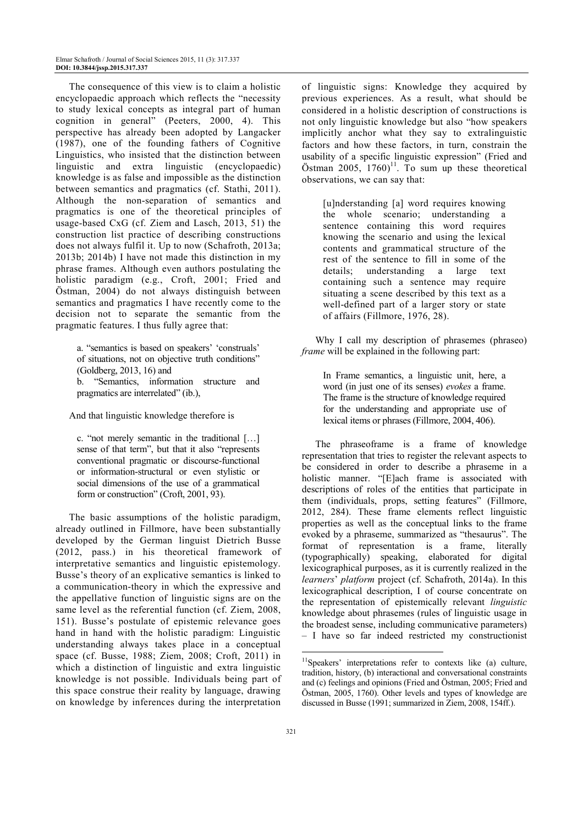The consequence of this view is to claim a holistic encyclopaedic approach which reflects the "necessity to study lexical concepts as integral part of human cognition in general" (Peeters, 2000, 4). This perspective has already been adopted by Langacker (1987), one of the founding fathers of Cognitive Linguistics, who insisted that the distinction between linguistic and extra linguistic (encyclopaedic) knowledge is as false and impossible as the distinction between semantics and pragmatics (cf. Stathi, 2011). Although the non-separation of semantics and pragmatics is one of the theoretical principles of usage-based CxG (cf. Ziem and Lasch, 2013, 51) the construction list practice of describing constructions does not always fulfil it. Up to now (Schafroth, 2013a; 2013b; 2014b) I have not made this distinction in my phrase frames. Although even authors postulating the holistic paradigm (e.g., Croft, 2001; Fried and Östman, 2004) do not always distinguish between semantics and pragmatics I have recently come to the decision not to separate the semantic from the pragmatic features. I thus fully agree that:

a. "semantics is based on speakers' 'construals' of situations, not on objective truth conditions" (Goldberg, 2013, 16) and b. "Semantics, information structure and pragmatics are interrelated" (ib.),

And that linguistic knowledge therefore is

c. "not merely semantic in the traditional […] sense of that term", but that it also "represents conventional pragmatic or discourse-functional or information-structural or even stylistic or social dimensions of the use of a grammatical form or construction" (Croft, 2001, 93).

The basic assumptions of the holistic paradigm, already outlined in Fillmore, have been substantially developed by the German linguist Dietrich Busse (2012, pass.) in his theoretical framework of interpretative semantics and linguistic epistemology. Busse's theory of an explicative semantics is linked to a communication-theory in which the expressive and the appellative function of linguistic signs are on the same level as the referential function (cf. Ziem, 2008, 151). Busse's postulate of epistemic relevance goes hand in hand with the holistic paradigm: Linguistic understanding always takes place in a conceptual space (cf. Busse, 1988; Ziem, 2008; Croft, 2011) in which a distinction of linguistic and extra linguistic knowledge is not possible. Individuals being part of this space construe their reality by language, drawing on knowledge by inferences during the interpretation

of linguistic signs: Knowledge they acquired by previous experiences. As a result, what should be considered in a holistic description of constructions is not only linguistic knowledge but also "how speakers implicitly anchor what they say to extralinguistic factors and how these factors, in turn, constrain the usability of a specific linguistic expression" (Fried and Östman  $2005$ ,  $1760$ <sup>11</sup>. To sum up these theoretical observations, we can say that:

[u]nderstanding [a] word requires knowing the whole scenario; understanding a sentence containing this word requires knowing the scenario and using the lexical contents and grammatical structure of the rest of the sentence to fill in some of the details; understanding a large text containing such a sentence may require situating a scene described by this text as a well-defined part of a larger story or state of affairs (Fillmore, 1976, 28).

Why I call my description of phrasemes (phraseo) *frame* will be explained in the following part:

In Frame semantics, a linguistic unit, here, a word (in just one of its senses) *evokes* a frame. The frame is the structure of knowledge required for the understanding and appropriate use of lexical items or phrases (Fillmore, 2004, 406).

The phraseoframe is a frame of knowledge representation that tries to register the relevant aspects to be considered in order to describe a phraseme in a holistic manner. "[E]ach frame is associated with descriptions of roles of the entities that participate in them (individuals, props, setting features" (Fillmore, 2012, 284). These frame elements reflect linguistic properties as well as the conceptual links to the frame evoked by a phraseme, summarized as "thesaurus". The format of representation is a frame, literally (typographically) speaking, elaborated for digital lexicographical purposes, as it is currently realized in the *learners*' *platform* project (cf. Schafroth, 2014a). In this lexicographical description, I of course concentrate on the representation of epistemically relevant *linguistic* knowledge about phrasemes (rules of linguistic usage in the broadest sense, including communicative parameters) – I have so far indeed restricted my constructionist

 $\overline{a}$ 

<sup>11</sup>Speakers' interpretations refer to contexts like (a) culture, tradition, history, (b) interactional and conversational constraints and (c) feelings and opinions (Fried and Östman, 2005; Fried and Östman, 2005, 1760). Other levels and types of knowledge are discussed in Busse (1991; summarized in Ziem, 2008, 154ff.).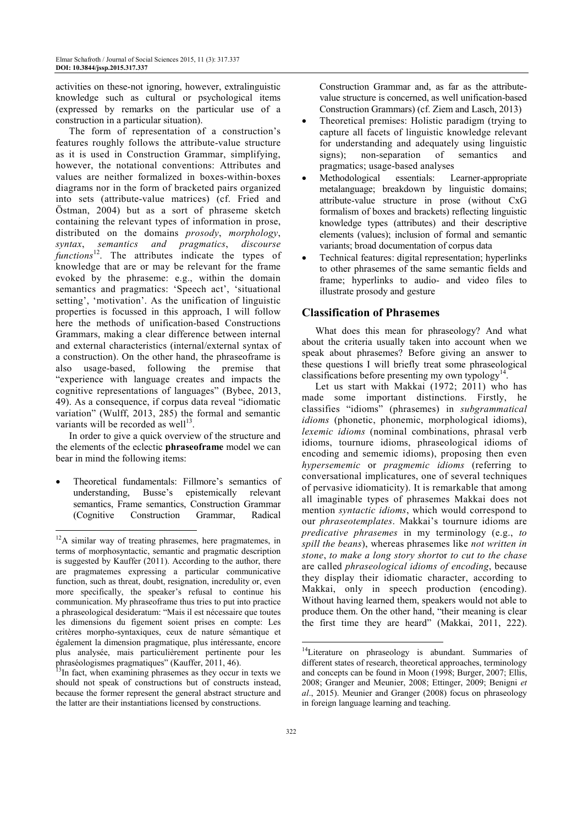activities on these-not ignoring, however, extralinguistic knowledge such as cultural or psychological items (expressed by remarks on the particular use of a construction in a particular situation).

The form of representation of a construction's features roughly follows the attribute-value structure as it is used in Construction Grammar, simplifying, however, the notational conventions: Attributes and values are neither formalized in boxes-within-boxes diagrams nor in the form of bracketed pairs organized into sets (attribute-value matrices) (cf. Fried and Östman, 2004) but as a sort of phraseme sketch containing the relevant types of information in prose, distributed on the domains *prosody*, *morphology*, *syntax*, *semantics and pragmatics*, *discourse functions*<sup>12</sup>. The attributes indicate the types of knowledge that are or may be relevant for the frame evoked by the phraseme: e.g., within the domain semantics and pragmatics: 'Speech act', 'situational setting', 'motivation'. As the unification of linguistic properties is focussed in this approach, I will follow here the methods of unification-based Constructions Grammars, making a clear difference between internal and external characteristics (internal/external syntax of a construction). On the other hand, the phraseoframe is also usage-based, following the premise that "experience with language creates and impacts the cognitive representations of languages" (Bybee, 2013, 49). As a consequence, if corpus data reveal "idiomatic variation" (Wulff, 2013, 285) the formal and semantic variants will be recorded as well $^{13}$ .

In order to give a quick overview of the structure and the elements of the eclectic **phraseoframe** model we can bear in mind the following items:

• Theoretical fundamentals: Fillmore's semantics of understanding, Busse's epistemically relevant semantics, Frame semantics, Construction Grammar (Cognitive Construction Grammar, Radical  $\overline{a}$ 

Construction Grammar and, as far as the attributevalue structure is concerned, as well unification-based Construction Grammars) (cf. Ziem and Lasch, 2013)

- Theoretical premises: Holistic paradigm (trying to capture all facets of linguistic knowledge relevant for understanding and adequately using linguistic<br>signs); non-separation of semantics and signs); non-separation of semantics and pragmatics; usage-based analyses
- Methodological essentials: Learner-appropriate metalanguage; breakdown by linguistic domains; attribute-value structure in prose (without CxG formalism of boxes and brackets) reflecting linguistic knowledge types (attributes) and their descriptive elements (values); inclusion of formal and semantic variants; broad documentation of corpus data
- Technical features: digital representation; hyperlinks to other phrasemes of the same semantic fields and frame; hyperlinks to audio- and video files to illustrate prosody and gesture

# **Classification of Phrasemes**

What does this mean for phraseology? And what about the criteria usually taken into account when we speak about phrasemes? Before giving an answer to these questions I will briefly treat some phraseological classifications before presenting my own typology<sup>14</sup> .

Let us start with Makkai (1972; 2011) who has made some important distinctions. Firstly, he classifies "idioms" (phrasemes) in *subgrammatical idioms* (phonetic, phonemic, morphological idioms), *lexemic idioms* (nominal combinations, phrasal verb idioms, tournure idioms, phraseological idioms of encoding and sememic idioms), proposing then even *hypersememic* or *pragmemic idioms* (referring to conversational implicatures, one of several techniques of pervasive idiomaticity). It is remarkable that among all imaginable types of phrasemes Makkai does not mention *syntactic idioms*, which would correspond to our *phraseotemplates*. Makkai's tournure idioms are *predicative phrasemes* in my terminology (e.g., *to spill the beans*), whereas phrasemes like *not written in stone*, *to make a long story short*or *to cut to the chase* are called *phraseological idioms of encoding*, because they display their idiomatic character, according to Makkai, only in speech production (encoding). Without having learned them, speakers would not able to produce them. On the other hand, "their meaning is clear the first time they are heard" (Makkai, 2011, 222).

 $12A$  similar way of treating phrasemes, here pragmatemes, in terms of morphosyntactic, semantic and pragmatic description is suggested by Kauffer (2011). According to the author, there are pragmatemes expressing a particular communicative function, such as threat, doubt, resignation, incredulity or, even more specifically, the speaker's refusal to continue his communication. My phraseoframe thus tries to put into practice a phraseological desideratum: "Mais il est nécessaire que toutes les dimensions du figement soient prises en compte: Les critères morpho-syntaxiques, ceux de nature sémantique et également la dimension pragmatique, plus intéressante, encore plus analysée, mais particulièrement pertinente pour les phraséologismes pragmatiques" (Kauffer, 2011, 46).

 $13$ In fact, when examining phrasemes as they occur in texts we should not speak of constructions but of constructs instead, because the former represent the general abstract structure and the latter are their instantiations licensed by constructions.

<sup>&</sup>lt;sup>14</sup>Literature on phraseology is abundant. Summaries of different states of research, theoretical approaches, terminology and concepts can be found in Moon (1998; Burger, 2007; Ellis, 2008; Granger and Meunier, 2008; Ettinger, 2009; Benigni *et al*., 2015). Meunier and Granger (2008) focus on phraseology in foreign language learning and teaching.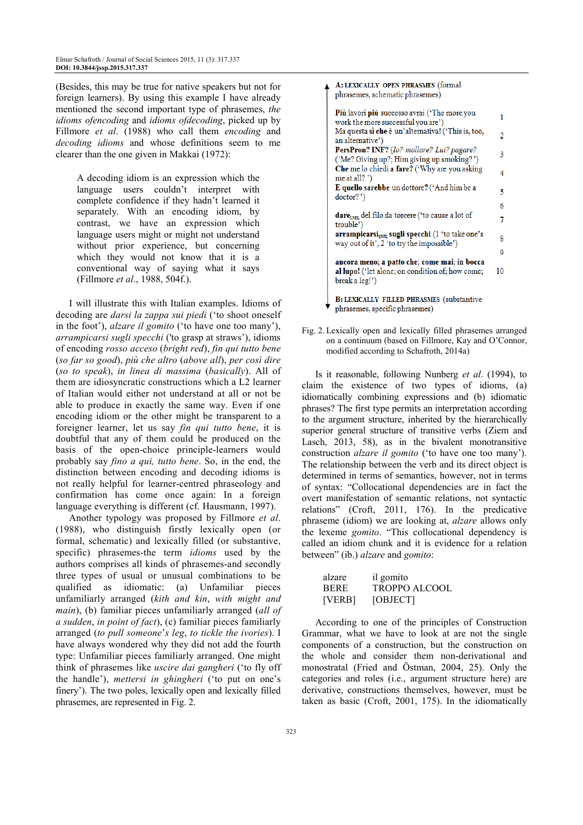(Besides, this may be true for native speakers but not for foreign learners). By using this example I have already mentioned the second important type of phrasemes, *the idioms ofencoding* and *idioms ofdecoding*, picked up by Fillmore *et al*. (1988) who call them *encoding* and *decoding idioms* and whose definitions seem to me clearer than the one given in Makkai (1972):

A decoding idiom is an expression which the language users couldn't interpret with complete confidence if they hadn't learned it separately. With an encoding idiom, by contrast, we have an expression which language users might or might not understand without prior experience, but concerning which they would not know that it is a conventional way of saying what it says (Fillmore *et al*., 1988, 504f.).

I will illustrate this with Italian examples. Idioms of decoding are *darsi la zappa sui piedi* ('to shoot oneself in the foot'), *alzare il gomito* ('to have one too many'), *arrampicarsi sugli specchi* ('to grasp at straws'), idioms of encoding *rosso acceso* (*bright red*), *fin qui tutto bene* (*so far so good*), *più che altro* (*above all*), *per così dire* (*so to speak*), *in linea di massima* (*basically*). All of them are idiosyncratic constructions which a L2 learner of Italian would either not understand at all or not be able to produce in exactly the same way. Even if one encoding idiom or the other might be transparent to a foreigner learner, let us say *fin qui tutto bene*, it is doubtful that any of them could be produced on the basis of the open-choice principle-learners would probably say *fino a qui, tutto bene*. So, in the end, the distinction between encoding and decoding idioms is not really helpful for learner-centred phraseology and confirmation has come once again: In a foreign language everything is different (cf. Hausmann, 1997).

Another typology was proposed by Fillmore *et al*. (1988), who distinguish firstly lexically open (or formal, schematic) and lexically filled (or substantive, specific) phrasemes-the term *idioms* used by the authors comprises all kinds of phrasemes-and secondly three types of usual or unusual combinations to be qualified as idiomatic: (a) Unfamiliar pieces unfamiliarly arranged (*kith and kin*, *with might and main*), (b) familiar pieces unfamiliarly arranged (*all of a sudden*, *in point of fact*), (c) familiar pieces familiarly arranged (*to pull someone*'*s leg*, *to tickle the ivories*). I have always wondered why they did not add the fourth type: Unfamiliar pieces familiarly arranged. One might think of phrasemes like *uscire dai gangheri* ('to fly off the handle'), *mettersi in ghingheri* ('to put on one's finery'). The two poles, lexically open and lexically filled phrasemes, are represented in Fig. 2.

A: LEXICALLY OPEN PHRASMES (formal phrasemes, schematic phrasemes) Più lavori più successo avrai ('The more you  $\mathbf{1}$ work the more successful you are') Ma questa sì che è un'alternativa! ('This is, too,  $\overline{2}$ an alternative') PersPron? INF? (Io? mollare? Lui? pagare?  $\overline{3}$ ('Me? Giving up?; Him giving up smoking?') Che me lo chiedi a fare? ('Why are you asking  $\overline{4}$ me at all?  $')$ E quello sarebbe un dottore? ('And him be a K  $doctor?$ 6 dare<sub>INH</sub> del filo da torcere ('to cause a lot of  $\overline{7}$ trouble') arrampicarsi<sub>INE</sub> sugli specchi (1 'to take one's 8 way out of it', 2 'to try the impossible')  $\mathbf{Q}$ ancora meno; a patto che; come mai; in bocca al lupo! ('let alone; on condition of; how come;  $10$ break a leg!') **B: LEXICALLY FILLED PHRASMES (substantive** phrasemes, specific phrasemes)

Fig. 2. Lexically open and lexically filled phrasemes arranged on a continuum (based on Fillmore, Kay and O'Connor, modified according to Schafroth, 2014a)

Is it reasonable, following Nunberg *et al*. (1994), to claim the existence of two types of idioms, (a) idiomatically combining expressions and (b) idiomatic phrases? The first type permits an interpretation according to the argument structure, inherited by the hierarchically superior general structure of transitive verbs (Ziem and Lasch, 2013, 58), as in the bivalent monotransitive construction *alzare il gomito* ('to have one too many'). The relationship between the verb and its direct object is determined in terms of semantics, however, not in terms of syntax: "Collocational dependencies are in fact the overt manifestation of semantic relations, not syntactic relations" (Croft, 2011, 176). In the predicative phraseme (idiom) we are looking at, *alzare* allows only the lexeme *gomito*. "This collocational dependency is called an idiom chunk and it is evidence for a relation between" (ib.) *alzare* and *gomito*:

| alzare      | il gomito            |
|-------------|----------------------|
| <b>BERE</b> | <b>TROPPO ALCOOL</b> |
| [VERB]      | [OBJECT]             |

According to one of the principles of Construction Grammar, what we have to look at are not the single components of a construction, but the construction on the whole and consider them non-derivational and monostratal (Fried and Östman, 2004, 25). Only the categories and roles (i.e., argument structure here) are derivative, constructions themselves, however, must be taken as basic (Croft, 2001, 175). In the idiomatically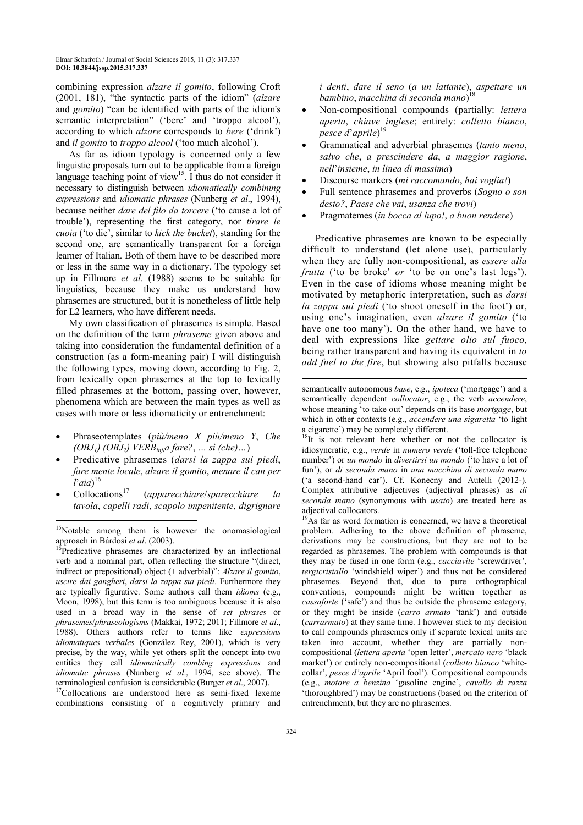combining expression *alzare il gomito*, following Croft (2001, 181), "the syntactic parts of the idiom" (*alzare* and *gomito*) "can be identified with parts of the idiom's semantic interpretation" ('bere' and 'troppo alcool'), according to which *alzare* corresponds to *bere* ('drink') and *il gomito* to *troppo alcool* ('too much alcohol').

As far as idiom typology is concerned only a few linguistic proposals turn out to be applicable from a foreign language teaching point of view<sup>15</sup>. I thus do not consider it necessary to distinguish between *idiomatically combining expressions* and *idiomatic phrases* (Nunberg *et al*., 1994), because neither *dare del filo da torcere* ('to cause a lot of trouble'), representing the first category, nor *tirare le cuoia* ('to die', similar to *kick the bucket*), standing for the second one, are semantically transparent for a foreign learner of Italian. Both of them have to be described more or less in the same way in a dictionary. The typology set up in Fillmore *et al*. (1988) seems to be suitable for linguistics, because they make us understand how phrasemes are structured, but it is nonetheless of little help for L2 learners, who have different needs.

My own classification of phrasemes is simple. Based on the definition of the term *phraseme* given above and taking into consideration the fundamental definition of a construction (as a form-meaning pair) I will distinguish the following types, moving down, according to Fig. 2, from lexically open phrasemes at the top to lexically filled phrasemes at the bottom, passing over, however, phenomena which are between the main types as well as cases with more or less idiomaticity or entrenchment:

- Phraseotemplates (*più/meno X più/meno Y*, *Che (OBJ1) (OBJ2) VERBinfla fare?*, *… sì (che)…*)
- Predicative phrasemes (*darsi la zappa sui piedi*, *fare mente locale*, *alzare il gomito*, *menare il can per l*'*aia*) 16
- Collocations<sup>17</sup> (*apparecchiare*/*sparecchiare la tavola*, *capelli radi*, *scapolo impenitente*, *digrignare*

l

<sup>17</sup>Collocations are understood here as semi-fixed lexeme combinations consisting of a cognitively primary and *i denti*, *dare il seno* (*a un lattante*), *aspettare un bambino*, *macchina di seconda mano*) 18

- Non-compositional compounds (partially: *lettera aperta*, *chiave inglese*; entirely: *colletto bianco*, *pesce d*'*aprile*) 19
- Grammatical and adverbial phrasemes (*tanto meno*, *salvo che*, *a prescindere da*, *a maggior ragione*, *nell*'*insieme*, *in linea di massima*)
- Discourse markers (*mi raccomando*, *hai voglia!*)
- Full sentence phrasemes and proverbs (*Sogno o son desto?*, *Paese che vai*, *usanza che trovi*)
- Pragmatemes (*in bocca al lupo!*, *a buon rendere*)

Predicative phrasemes are known to be especially difficult to understand (let alone use), particularly when they are fully non-compositional, as *essere alla frutta* ('to be broke' *or* 'to be on one's last legs'). Even in the case of idioms whose meaning might be motivated by metaphoric interpretation, such as *darsi la zappa sui piedi* ('to shoot oneself in the foot') or, using one's imagination, even *alzare il gomito* ('to have one too many'). On the other hand, we have to deal with expressions like *gettare olio sul fuoco*, being rather transparent and having its equivalent in *to add fuel to the fire*, but showing also pitfalls because

 $\overline{a}$ 

<sup>&</sup>lt;sup>15</sup>Notable among them is however the onomasiological approach in Bárdosi *et al*. (2003).

 $16$ Predicative phrasemes are characterized by an inflectional verb and a nominal part, often reflecting the structure "(direct, indirect or prepositional) object (+ adverbial)": *Alzare il gomito*, *uscire dai gangheri*, *darsi la zappa sui piedi*. Furthermore they are typically figurative. Some authors call them *idioms* (e.g., Moon, 1998), but this term is too ambiguous because it is also used in a broad way in the sense of *set phrases* or *phrasemes*/*phraseologisms* (Makkai, 1972; 2011; Fillmore *et al*., 1988). Others authors refer to terms like *expressions idiomatiques verbales* (González Rey, 2001), which is very precise, by the way, while yet others split the concept into two entities they call *idiomatically combing expressions* and *idiomatic phrases* (Nunberg *et al*., 1994, see above). The terminological confusion is considerable (Burger *et al*., 2007).

semantically autonomous *base*, e.g., *ipoteca* ('mortgage') and a semantically dependent *collocator*, e.g., the verb *accendere*, whose meaning 'to take out' depends on its base *mortgage*, but which in other contexts (e.g., *accendere una sigaretta* 'to light a cigarette') may be completely different.

<sup>&</sup>lt;sup>18</sup>It is not relevant here whether or not the collocator is idiosyncratic, e.g., *verde* in *numero verde* ('toll-free telephone number') or *un mondo* in *divertirsi un mondo* ('to have a lot of fun'), or *di seconda mano* in *una macchina di seconda mano* ('a second-hand car'). Cf. Konecny and Autelli (2012-). Complex attributive adjectives (adjectival phrases) as *di seconda mano* (synonymous with *usato*) are treated here as adjectival collocators.

<sup>&</sup>lt;sup>19</sup>As far as word formation is concerned, we have a theoretical problem. Adhering to the above definition of phraseme, derivations may be constructions, but they are not to be regarded as phrasemes. The problem with compounds is that they may be fused in one form (e.g., *cacciavite* 'screwdriver', *tergicristallo* 'windshield wiper') and thus not be considered phrasemes. Beyond that, due to pure orthographical conventions, compounds might be written together as *cassaforte* ('safe') and thus be outside the phraseme category, or they might be inside (*carro armato* 'tank') and outside (*carrarmato*) at they same time. I however stick to my decision to call compounds phrasemes only if separate lexical units are taken into account, whether they are partially noncompositional (*lettera aperta* 'open letter', *mercato nero* 'black market') or entirely non-compositional (*colletto bianco* 'whitecollar', *pesce d'aprile* 'April fool'). Compositional compounds (e.g., *motore a benzina* 'gasoline engine', *cavallo di razza* 'thoroughbred') may be constructions (based on the criterion of entrenchment), but they are no phrasemes.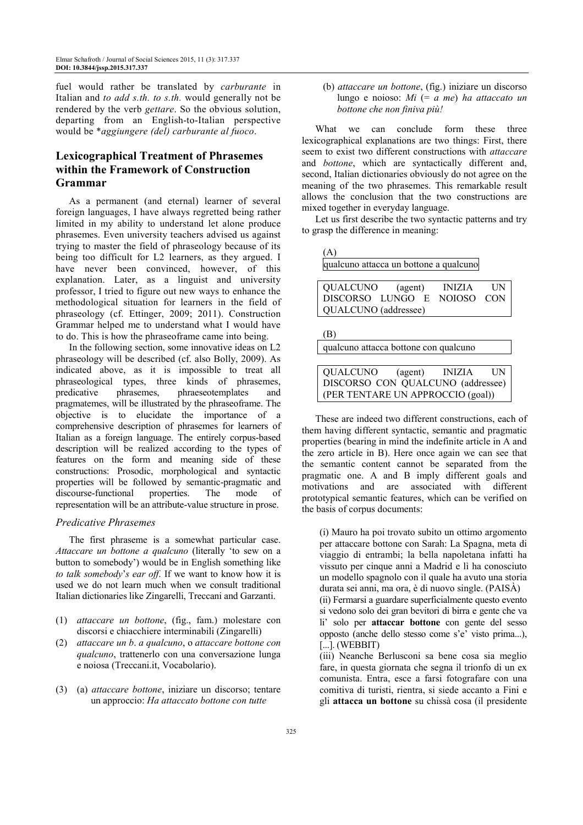fuel would rather be translated by *carburante* in Italian and *to add s.th. to s.th.* would generally not be rendered by the verb *gettare*. So the obvious solution, departing from an English-to-Italian perspective would be \**aggiungere (del) carburante al fuoco*.

# **Lexicographical Treatment of Phrasemes within the Framework of Construction Grammar**

As a permanent (and eternal) learner of several foreign languages, I have always regretted being rather limited in my ability to understand let alone produce phrasemes. Even university teachers advised us against trying to master the field of phraseology because of its being too difficult for L2 learners, as they argued. I have never been convinced, however, of this explanation. Later, as a linguist and university professor, I tried to figure out new ways to enhance the methodological situation for learners in the field of phraseology (cf. Ettinger, 2009; 2011). Construction Grammar helped me to understand what I would have to do. This is how the phraseoframe came into being.

In the following section, some innovative ideas on L2 phraseology will be described (cf. also Bolly, 2009). As indicated above, as it is impossible to treat all phraseological types, three kinds of phrasemes, predicative phrasemes, phraeseotemplates and pragmatemes, will be illustrated by the phraseoframe. The objective is to elucidate the importance of a comprehensive description of phrasemes for learners of Italian as a foreign language. The entirely corpus-based description will be realized according to the types of features on the form and meaning side of these constructions: Prosodic, morphological and syntactic properties will be followed by semantic-pragmatic and discourse-functional properties. The mode of representation will be an attribute-value structure in prose.

#### *Predicative Phrasemes*

The first phraseme is a somewhat particular case. *Attaccare un bottone a qualcuno* (literally 'to sew on a button to somebody') would be in English something like *to talk somebody*'*s ear off*. If we want to know how it is used we do not learn much when we consult traditional Italian dictionaries like Zingarelli, Treccani and Garzanti.

- (1) *attaccare un bottone*, (fig., fam.) molestare con discorsi e chiacchiere interminabili (Zingarelli)
- (2) *attaccare un b*. *a qualcuno*, o *attaccare bottone con qualcuno*, trattenerlo con una conversazione lunga e noiosa (Treccani.it, Vocabolario).
- (3) (a) *attaccare bottone*, iniziare un discorso; tentare un approccio: *Ha attaccato bottone con tutte*

 (b) *attaccare un bottone*, (fig.) iniziare un discorso lungo e noioso: *Mi* (= *a me*) *ha attaccato un bottone che non finiva più!*

What we can conclude form these three lexicographical explanations are two things: First, there seem to exist two different constructions with *attaccare* and *bottone*, which are syntactically different and, second, Italian dictionaries obviously do not agree on the meaning of the two phrasemes. This remarkable result allows the conclusion that the two constructions are mixed together in everyday language.

Let us first describe the two syntactic patterns and try to grasp the difference in meaning:

| (A)                                    |         |               |            |
|----------------------------------------|---------|---------------|------------|
| qualcuno attacca un bottone a qualcuno |         |               |            |
|                                        |         |               |            |
| QUALCUNO                               | (agent) | <b>INIZIA</b> | <b>IIN</b> |
| DISCORSO LUNGO E                       |         | NOIOSO CON    |            |

| QUALCUNO (addressee) |  |
|----------------------|--|
|                      |  |

(B)

qualcuno attacca bottone con qualcuno

QUALCUNO (agent) INIZIA UN DISCORSO CON QUALCUNO (addressee) (PER TENTARE UN APPROCCIO (goal))

These are indeed two different constructions, each of them having different syntactic, semantic and pragmatic properties (bearing in mind the indefinite article in A and the zero article in B). Here once again we can see that the semantic content cannot be separated from the pragmatic one. A and B imply different goals and motivations and are associated with different prototypical semantic features, which can be verified on the basis of corpus documents:

(i) Mauro ha poi trovato subito un ottimo argomento per attaccare bottone con Sarah: La Spagna, meta di viaggio di entrambi; la bella napoletana infatti ha vissuto per cinque anni a Madrid e lì ha conosciuto un modello spagnolo con il quale ha avuto una storia durata sei anni, ma ora, è di nuovo single. (PAISÀ) (ii) Fermarsi a guardare superficialmente questo evento si vedono solo dei gran bevitori di birra e gente che va li' solo per **attaccar bottone** con gente del sesso opposto (anche dello stesso come s'e' visto prima...), [...]. (WEBBIT)

(iii) Neanche Berlusconi sa bene cosa sia meglio fare, in questa giornata che segna il trionfo di un ex comunista. Entra, esce a farsi fotografare con una comitiva di turisti, rientra, si siede accanto a Fini e gli **attacca un bottone** su chissà cosa (il presidente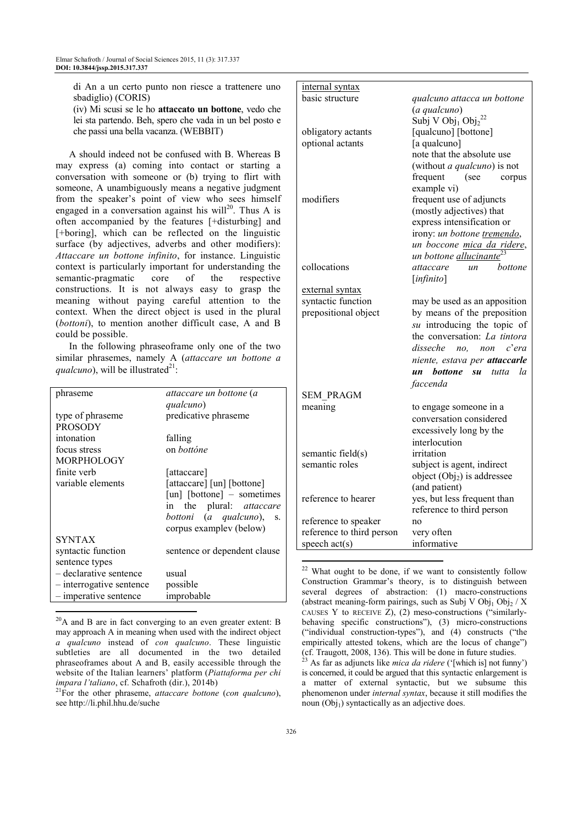di An a un certo punto non riesce a trattenere uno sbadiglio) (CORIS)

(iv) Mi scusi se le ho **attaccato un bottone**, vedo che lei sta partendo. Beh, spero che vada in un bel posto e che passi una bella vacanza. (WEBBIT)

A should indeed not be confused with B. Whereas B may express (a) coming into contact or starting a conversation with someone or (b) trying to flirt with someone, A unambiguously means a negative judgment from the speaker's point of view who sees himself engaged in a conversation against his will<sup>20</sup>. Thus A is often accompanied by the features [+disturbing] and [+boring], which can be reflected on the linguistic surface (by adjectives, adverbs and other modifiers): *Attaccare un bottone infinito*, for instance. Linguistic context is particularly important for understanding the semantic-pragmatic core of the respective constructions. It is not always easy to grasp the meaning without paying careful attention to the context. When the direct object is used in the plural (*bottoni*), to mention another difficult case, A and B could be possible.

In the following phraseoframe only one of the two similar phrasemes, namely A (*attaccare un bottone a*   $qualcuno)$ , will be illustrated<sup>21</sup>:

| phraseme                 | attaccare un bottone (a                    |
|--------------------------|--------------------------------------------|
|                          | qualcuno)                                  |
| type of phraseme         | predicative phraseme                       |
| <b>PROSODY</b>           |                                            |
| intonation               | falling                                    |
| focus stress             | on <i>bottóne</i>                          |
| <b>MORPHOLOGY</b>        |                                            |
| finite verb              | [attaccare]                                |
| variable elements        | [attaccare] [un] [bottone]                 |
|                          | $\lceil$ un $\rceil$ [bottone] – sometimes |
|                          | in the plural: <i>attaccare</i>            |
|                          | bottoni (a qualcuno),<br>S.                |
|                          | corpus exampley (below)                    |
| <b>SYNTAX</b>            |                                            |
| syntactic function       | sentence or dependent clause               |
| sentence types           |                                            |
| - declarative sentence   | usual                                      |
| - interrogative sentence | possible                                   |
| - imperative sentence    | improbable                                 |
|                          |                                            |

 $^{20}$ A and B are in fact converging to an even greater extent: B may approach A in meaning when used with the indirect object *a qualcuno* instead of *con qualcuno*. These linguistic subtleties are all documented in the two detailed phraseoframes about A and B, easily accessible through the website of the Italian learners' platform (*Piattaforma per chi impara l'taliano*, cf. Schafroth (dir.), 2014b)

<sup>21</sup>For the other phraseme, *attaccare bottone* (*con qualcuno*), see http://li.phil.hhu.de/suche

| internal syntax           |                                                        |  |
|---------------------------|--------------------------------------------------------|--|
| basic structure           | qualcuno attacca un bottone                            |  |
|                           | (a qualcuno)                                           |  |
|                           | Subj V Obj <sub>1</sub> Obj <sub>2</sub> <sup>22</sup> |  |
| obligatory actants        | [qualcuno] [bottone]                                   |  |
| optional actants          | [a qualcuno]                                           |  |
|                           | note that the absolute use                             |  |
|                           | (without <i>a qualcuno</i> ) is not                    |  |
|                           | frequent<br>(see<br>corpus                             |  |
|                           | example vi)                                            |  |
| modifiers                 | frequent use of adjuncts                               |  |
|                           | (mostly adjectives) that                               |  |
|                           | express intensification or                             |  |
|                           | irony: un bottone tremendo,                            |  |
|                           | un boccone mica da ridere,                             |  |
|                           | un bottone allucinante <sup>23</sup>                   |  |
| collocations              | attaccare<br>bottone<br>un                             |  |
|                           | [infinite]                                             |  |
| external syntax           |                                                        |  |
| syntactic function        | may be used as an apposition                           |  |
| prepositional object      | by means of the preposition                            |  |
|                           | su introducing the topic of                            |  |
|                           | the conversation: La tintora                           |  |
|                           | disseche<br>c'era                                      |  |
|                           | no,<br>non                                             |  |
|                           | niente, estava per <b>attaccarle</b>                   |  |
|                           | un bottone su<br>tutta<br>la                           |  |
|                           | faccenda                                               |  |
| <b>SEM PRAGM</b>          |                                                        |  |
| meaning                   | to engage someone in a                                 |  |
|                           | conversation considered                                |  |
|                           | excessively long by the                                |  |
|                           | interlocution                                          |  |
| semantic field(s)         | irritation                                             |  |
| semantic roles            | subject is agent, indirect                             |  |
|                           | object $\text{Obj}_2\text{)}$ is addressee             |  |
|                           | (and patient)                                          |  |
| reference to hearer       | yes, but less frequent than                            |  |
|                           | reference to third person                              |  |
| reference to speaker      | no                                                     |  |
| reference to third person | very often                                             |  |
| speech act(s)             | informative                                            |  |
|                           |                                                        |  |

<sup>&</sup>lt;sup>22</sup> What ought to be done, if we want to consistently follow Construction Grammar's theory, is to distinguish between several degrees of abstraction: (1) macro-constructions (abstract meaning-form pairings, such as Subj V  $Obj_1Obj_2 / X$ CAUSES Y to RECEIVE Z), (2) meso-constructions ("similarlybehaving specific constructions"), (3) micro-constructions ("individual construction-types"), and (4) constructs ("the empirically attested tokens, which are the locus of change") (cf. Traugott, 2008, 136). This will be done in future studies.

<sup>23</sup> As far as adjuncts like *mica da ridere* ('[which is] not funny') is concerned, it could be argued that this syntactic enlargement is a matter of external syntactic, but we subsume this phenomenon under *internal syntax*, because it still modifies the noun  $(Obj_1)$  syntactically as an adjective does.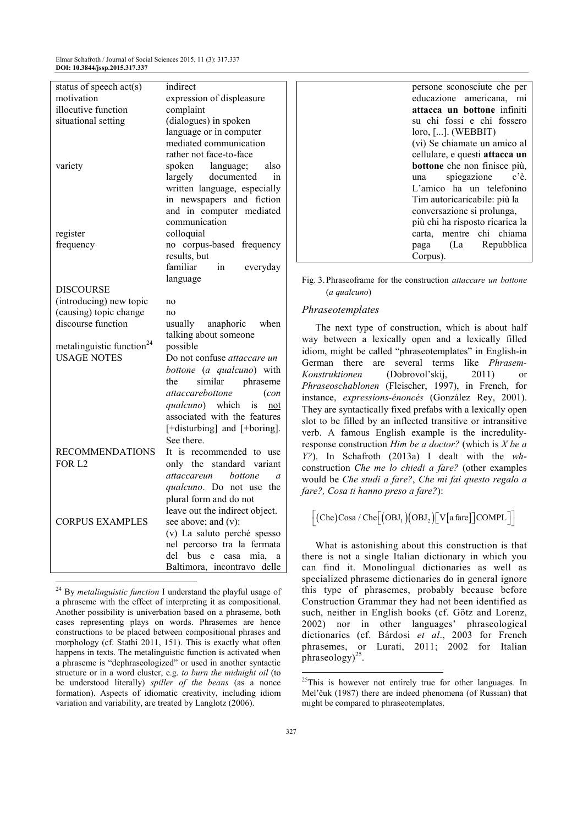Elmar Schafroth / Journal of Social Sciences 2015, 11 (3): 317.337 **DOI: 10.3844/jssp.2015.317.337** 

| status of speech act(s)               | indirect                                 |
|---------------------------------------|------------------------------------------|
| motivation                            | expression of displeasure                |
| illocutive function                   | complaint                                |
| situational setting                   | (dialogues) in spoken                    |
|                                       | language or in computer                  |
|                                       | mediated communication                   |
|                                       | rather not face-to-face                  |
| variety                               | also<br>spoken<br>language;              |
|                                       | documented<br>largely<br>in              |
|                                       | written language, especially             |
|                                       | in newspapers and fiction                |
|                                       | and in computer mediated                 |
|                                       | communication                            |
| register                              | colloquial                               |
| frequency                             | no corpus-based frequency                |
|                                       | results, but                             |
|                                       | familiar<br>in<br>everyday               |
| <b>DISCOURSE</b>                      | language                                 |
| (introducing) new topic               |                                          |
| (causing) topic change                | no<br>no                                 |
| discourse function                    | when<br>usually anaphoric                |
|                                       | talking about someone                    |
| metalinguistic function <sup>24</sup> | possible                                 |
| <b>USAGE NOTES</b>                    | Do not confuse attaccare un              |
|                                       | bottone (a qualcuno) with                |
|                                       | the<br>phraseme<br>similar               |
|                                       | attaccarebottone<br>(con                 |
|                                       | qualcuno) which<br>is<br>not             |
|                                       | associated with the features             |
|                                       | [+disturbing] and [+boring].             |
|                                       | See there.                               |
| <b>RECOMMENDATIONS</b>                | It is recommended to use                 |
| FOR L <sub>2</sub>                    | the standard<br>variant<br>only          |
|                                       | attaccareun<br>bottone<br>$\overline{a}$ |
|                                       | the<br><i>qualcuno</i> . Do not use      |
|                                       | plural form and do not                   |
|                                       | leave out the indirect object.           |
| <b>CORPUS EXAMPLES</b>                | see above; and (v):                      |
|                                       | (v) La saluto perché spesso              |
|                                       | nel percorso tra la fermata              |
|                                       | del<br>bus<br>mia.<br>e<br>casa<br>a     |
|                                       |                                          |
|                                       | Baltimora, incontravo<br>delle           |

<sup>24</sup> By *metalinguistic function* I understand the playful usage of a phraseme with the effect of interpreting it as compositional. Another possibility is univerbation based on a phraseme, both cases representing plays on words. Phrasemes are hence constructions to be placed between compositional phrases and morphology (cf. Stathi 2011, 151). This is exactly what often happens in texts. The metalinguistic function is activated when a phraseme is "dephraseologized" or used in another syntactic structure or in a word cluster, e.g. *to burn the midnight oil* (to be understood literally) *spiller of the beans* (as a nonce formation). Aspects of idiomatic creativity, including idiom variation and variability, are treated by Langlotz (2006).

| persone sconosciute che per<br>educazione americana, mi |
|---------------------------------------------------------|
| attacca un bottone infiniti                             |
| su chi fossi e chi fossero                              |
| $loor,$ []. (WEBBIT)                                    |
| (vi) Se chiamate un amico al                            |
| cellulare, e questi attacca un                          |
| bottone che non finisce più,                            |
| una spiegazione<br>c'è.                                 |
| L'amico ha un telefonino                                |
| Tim autoricaricabile: più la                            |
| conversazione si prolunga,                              |
| più chi ha risposto ricarica la                         |
| carta, mentre chi chiama                                |
| paga (La Repubblica                                     |
| Corpus).                                                |

#### Fig. 3. Phraseoframe for the construction *attaccare un bottone* (*a qualcuno*)

#### *Phraseotemplates*

The next type of construction, which is about half way between a lexically open and a lexically filled idiom, might be called "phraseotemplates" in English-in German there are several terms like *Phrasem-Konstruktionen* (Dobrovol'skij, 2011) or *Phraseoschablonen* (Fleischer, 1997), in French, for instance, *expressions-énoncés* (González Rey, 2001). They are syntactically fixed prefabs with a lexically open slot to be filled by an inflected transitive or intransitive verb. A famous English example is the incredulityresponse construction *Him be a doctor?* (which is *X be a Y?*). In Schafroth (2013a) I dealt with the *wh*construction *Che me lo chiedi a fare?* (other examples would be *Che studi a fare?*, *Che mi fai questo regalo a fare?, Cosa ti hanno preso a fare?*):

 $\left[$  (Che)Cosa / Che $\left[$  (OBJ<sub>1</sub>)(OBJ<sub>2</sub>) $\left[$  V  $\left[$  a fare $\right]$   $\right]$  COMPL $\left]$ 

What is astonishing about this construction is that there is not a single Italian dictionary in which you can find it. Monolingual dictionaries as well as specialized phraseme dictionaries do in general ignore this type of phrasemes, probably because before Construction Grammar they had not been identified as such, neither in English books (cf. Götz and Lorenz, 2002) nor in other languages' phraseological dictionaries (cf. Bárdosi *et al*., 2003 for French phrasemes, or Lurati, 2011; 2002 for Italian  $phraseology)^{25}$ .

<sup>&</sup>lt;sup>25</sup>This is however not entirely true for other languages. In Mel'čuk (1987) there are indeed phenomena (of Russian) that might be compared to phraseotemplates.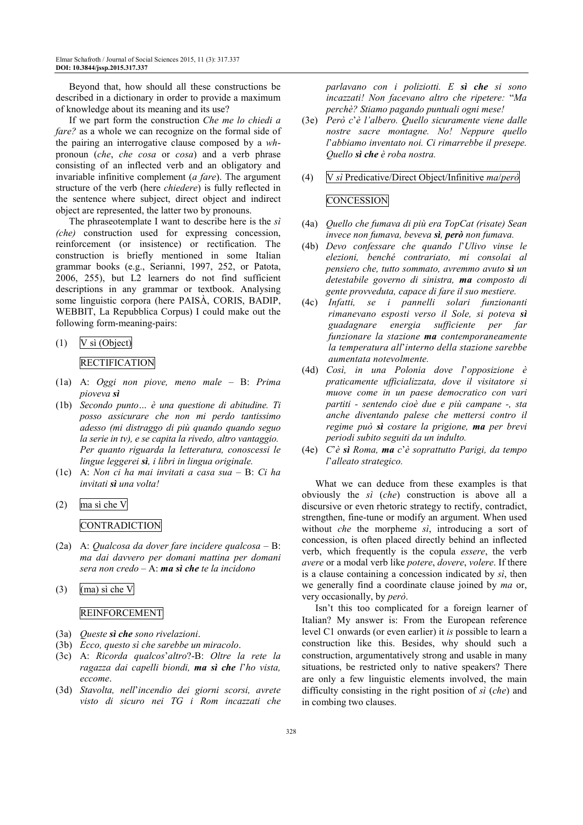Beyond that, how should all these constructions be described in a dictionary in order to provide a maximum of knowledge about its meaning and its use?

If we part form the construction *Che me lo chiedi a fare?* as a whole we can recognize on the formal side of the pairing an interrogative clause composed by a *wh*pronoun (*che*, *che cosa* or *cosa*) and a verb phrase consisting of an inflected verb and an obligatory and invariable infinitive complement (*a fare*). The argument structure of the verb (here *chiedere*) is fully reflected in the sentence where subject, direct object and indirect object are represented, the latter two by pronouns.

The phraseotemplate I want to describe here is the *sì (che)* construction used for expressing concession, reinforcement (or insistence) or rectification. The construction is briefly mentioned in some Italian grammar books (e.g., Serianni, 1997, 252, or Patota, 2006, 255), but L2 learners do not find sufficient descriptions in any grammar or textbook. Analysing some linguistic corpora (here PAISÀ, CORIS, BADIP, WEBBIT, La Repubblica Corpus) I could make out the following form-meaning-pairs:

# (1) V sì (Object) **RECTIFICATION**

- (1a) A: *Oggi non piove, meno male* B: *Prima pioveva sì*
- (1b) *Secondo punto… è una questione di abitudine. Ti posso assicurare che non mi perdo tantissimo adesso (mi distraggo di più quando quando seguo la serie in tv), e se capita la rivedo, altro vantaggio. Per quanto riguarda la letteratura, conoscessi le lingue leggerei sì, i libri in lingua originale.*
- (1c) A: *Non ci ha mai invitati a casa sua* B: *Ci ha invitati sì una volta!*
- (2) ma sì che V **CONTRADICTION**
- (2a) A: *Qualcosa da dover fare incidere qualcosa* B: *ma dai davvero per domani mattina per domani sera non credo* – A: *ma sì che te la incidono*
- (3) (ma) sì che V

#### REINFORCEMENT

- (3a) *Queste sì che sono rivelazioni*.
- (3b) *Ecco, questo sì che sarebbe un miracolo*.
- (3c) A: *Ricorda qualcos*'*altro*?-B: *Oltre la rete la ragazza dai capelli biondi, ma sì che l*'*ho vista, eccome*.
- (3d) *Stavolta, nell*'*incendio dei giorni scorsi, avrete visto di sicuro nei TG i Rom incazzati che*

*parlavano con i poliziotti. E sì che si sono incazzati! Non facevano altro che ripetere:* "*Ma perchè? Stiamo pagando puntuali ogni mese!*

- (3e) *Però c*'*è l'albero. Quello sicuramente viene dalle nostre sacre montagne. No! Neppure quello l*'*abbiamo inventato noi. Ci rimarrebbe il presepe. Quello sì che è roba nostra.*
- (4) V *sì* Predicative/Direct Object/Infinitive *ma*/*però*

#### **CONCESSION**

- (4a) *Quello che fumava di più era TopCat (risate) Sean invece non fumava, beveva sì, però non fumava.*
- (4b) *Devo confessare che quando l*'*Ulivo vinse le elezioni, benché contrariato, mi consolai al pensiero che, tutto sommato, avremmo avuto sì un detestabile governo di sinistra, ma composto di gente provveduta, capace di fare il suo mestiere.*
- (4c) *Infatti, se i pannelli solari funzionanti rimanevano esposti verso il Sole, si poteva sì guadagnare energia sufficiente per far funzionare la stazione ma contemporaneamente la temperatura all*'*interno della stazione sarebbe aumentata notevolmente.*
- (4d) *Così, in una Polonia dove l*'*opposizione è praticamente ufficializzata, dove il visitatore si muove come in un paese democratico con vari partiti - sentendo cioè due e più campane -, sta anche diventando palese che mettersi contro il regime può sì costare la prigione, ma per brevi periodi subito seguiti da un indulto.*
- (4e) *C*'*è sì Roma, ma c*'*è soprattutto Parigi, da tempo l*'*alleato strategico.*

What we can deduce from these examples is that obviously the *sì* (*che*) construction is above all a discursive or even rhetoric strategy to rectify, contradict, strengthen, fine-tune or modify an argument. When used without *che* the morpheme *sì*, introducing a sort of concession, is often placed directly behind an inflected verb, which frequently is the copula *essere*, the verb *avere* or a modal verb like *potere*, *dovere*, *volere*. If there is a clause containing a concession indicated by *sì*, then we generally find a coordinate clause joined by *ma* or, very occasionally, by *però*.

Isn't this too complicated for a foreign learner of Italian? My answer is: From the European reference level C1 onwards (or even earlier) it *is* possible to learn a construction like this. Besides, why should such a construction, argumentatively strong and usable in many situations, be restricted only to native speakers? There are only a few linguistic elements involved, the main difficulty consisting in the right position of *sì* (*che*) and in combing two clauses.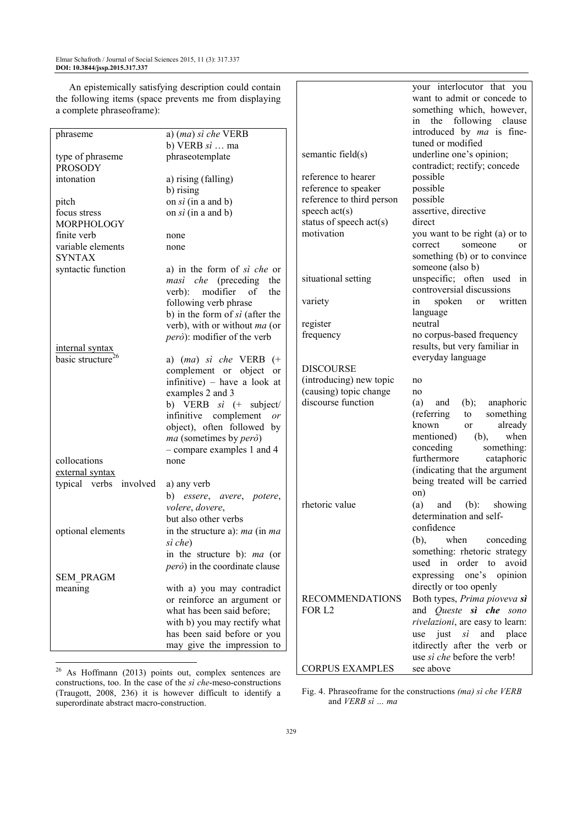| An epistemically satisfying description could contain   |                                        |                           | your interlocutor that you          |
|---------------------------------------------------------|----------------------------------------|---------------------------|-------------------------------------|
| the following items (space prevents me from displaying  |                                        |                           | want to admit or concede to         |
| a complete phraseoframe):                               |                                        |                           | something which, however,           |
|                                                         |                                        |                           | in the following clause             |
| phraseme                                                | a) (ma) sì che VERB                    |                           | introduced by ma is fine-           |
|                                                         | b) VERB $si \dots$ ma                  |                           | tuned or modified                   |
| type of phraseme                                        | phraseotemplate                        | semantic field(s)         | underline one's opinion;            |
| <b>PROSODY</b>                                          |                                        |                           | contradict; rectify; concede        |
| intonation                                              | a) rising (falling)                    | reference to hearer       | possible                            |
|                                                         | b) rising                              | reference to speaker      | possible                            |
| pitch                                                   | on $si$ (in a and b)                   | reference to third person | possible                            |
| focus stress                                            | on $si$ (in a and b)                   | speech $act(s)$           | assertive, directive                |
| MORPHOLOGY                                              |                                        | status of speech act(s)   | direct                              |
| finite verb                                             | none                                   | motivation                | you want to be right (a) or to      |
| variable elements                                       | none                                   |                           | correct<br>someone<br><sub>or</sub> |
| <b>SYNTAX</b>                                           |                                        |                           | something (b) or to convince        |
| syntactic function                                      | a) in the form of si che or            |                           | someone (also b)                    |
|                                                         | masi che (preceding<br>the             | situational setting       | unspecific; often used in           |
|                                                         | verb): modifier<br>of<br>the           |                           | controversial discussions           |
|                                                         | following verb phrase                  | variety                   | spoken<br>written<br>or<br>ın       |
|                                                         | b) in the form of $si$ (after the      |                           | language                            |
|                                                         | verb), with or without ma (or          | register                  | neutral                             |
|                                                         | però): modifier of the verb            | frequency                 | no corpus-based frequency           |
| internal syntax                                         |                                        |                           | results, but very familiar in       |
| basic structure <sup>26</sup>                           | a) $(ma)$ si che VERB $(+)$            |                           | everyday language                   |
|                                                         | complement or object or                | <b>DISCOURSE</b>          |                                     |
|                                                         | infinitive) – have a look at           | (introducing) new topic   | no                                  |
|                                                         | examples 2 and 3                       | (causing) topic change    | no                                  |
|                                                         | b) VERB $si$ (+ subject/               | discourse function        | $(b)$ ;<br>(a)<br>anaphoric<br>and  |
|                                                         | infinitive complement or               |                           | something<br>(referring<br>to       |
|                                                         | object), often followed by             |                           | known<br>already<br>or              |
|                                                         | ma (sometimes by però)                 |                           | when<br>mentioned)<br>$(b)$ ,       |
|                                                         | - compare examples 1 and 4             |                           | conceding<br>something:             |
| collocations                                            | none                                   |                           | furthermore<br>cataphoric           |
| external syntax                                         |                                        |                           | (indicating that the argument       |
| typical verbs involved                                  | a) any verb                            |                           | being treated will be carried       |
|                                                         | b) essere, avere, potere,              |                           | on)                                 |
|                                                         | volere, dovere,                        | rhetoric value            | (a)<br>$(b)$ :<br>and<br>showing    |
|                                                         | but also other verbs                   |                           | determination and self-             |
|                                                         |                                        |                           | confidence                          |
| optional elements                                       | in the structure a): ma (in ma         |                           | when<br>$(b)$ ,<br>conceding        |
|                                                         | sì che)                                |                           | something: rhetoric strategy        |
|                                                         | in the structure b): ma (or            |                           | used in order to avoid              |
|                                                         | <i>però</i> ) in the coordinate clause |                           | expressing one's opinion            |
| <b>SEM_PRAGM</b>                                        |                                        |                           |                                     |
| meaning                                                 | with a) you may contradict             |                           | directly or too openly              |
|                                                         | or reinforce an argument or            | <b>RECOMMENDATIONS</b>    | Both types, Prima pioveva sì        |
|                                                         | what has been said before;             | FOR L2                    | and Queste si che sono              |
|                                                         | with b) you may rectify what           |                           | rivelazioni, are easy to learn:     |
|                                                         | has been said before or you            |                           | use just $si$ and place             |
|                                                         | may give the impression to             |                           | itdirectly after the verb or        |
|                                                         |                                        |                           | use sì che before the verb!         |
| $^{26}$ As Hoffmann (2013) noints out complex sentences |                                        | <b>CORPUS EXAMPLES</b>    | see above                           |

 $26$  As Hoffmann (2013) points out, complex sentences are constructions, too. In the case of the *sì che*-meso-constructions (Traugott, 2008, 236) it is however difficult to identify a superordinate abstract macro-construction.

Fig. 4. Phraseoframe for the constructions *(ma) sì che VERB* and *VERB sì … ma*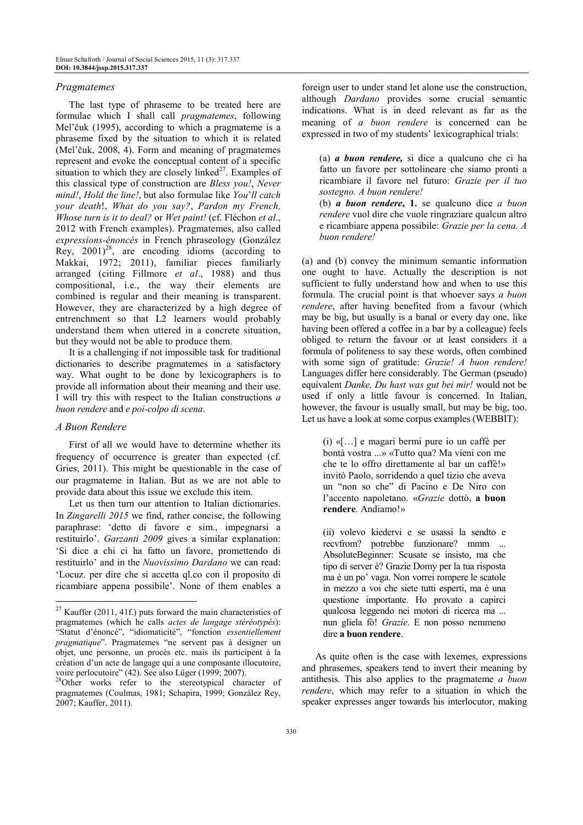#### *Pragmatemes*

The last type of phraseme to be treated here are formulae which I shall call *pragmatemes*, following Mel'čuk (1995), according to which a pragmateme is a phraseme fixed by the situation to which it is related (Mel'čuk, 2008, 4). Form and meaning of pragmatemes represent and evoke the conceptual content of a specific situation to which they are closely linked $2^7$ . Examples of this classical type of construction are *Bless you!*, *Never mind!*, *Hold the line!*, but also formulae like *You*'*ll catch your death*!, *What do you say?*, *Pardon my French, Whose turn is it to deal?* or *Wet paint!* (cf. Fléchon *et al*., 2012 with French examples). Pragmatemes, also called *expressions-énoncés* in French phraseology (González Rey,  $2001)^{28}$ , are encoding idioms (according to Makkai, 1972; 2011), familiar pieces familiarly arranged (citing Fillmore *et al*., 1988) and thus compositional, i.e., the way their elements are combined is regular and their meaning is transparent. However, they are characterized by a high degree of entrenchment so that L2 learners would probably understand them when uttered in a concrete situation, but they would not be able to produce them.

It is a challenging if not impossible task for traditional dictionaries to describe pragmatemes in a satisfactory way. What ought to be done by lexicographers is to provide all information about their meaning and their use. I will try this with respect to the Italian constructions *a buon rendere* and *e poi-colpo di scena*.

## *A Buon Rendere*

l

First of all we would have to determine whether its frequency of occurrence is greater than expected (cf. Gries, 2011). This might be questionable in the case of our pragmateme in Italian. But as we are not able to provide data about this issue we exclude this item.

Let us then turn our attention to Italian dictionaries. In *Zingarelli 2015* we find, rather concise, the following paraphrase: 'detto di favore e sim., impegnarsi a restituirlo'. *Garzanti 2009* gives a similar explanation: 'Si dice a chi ci ha fatto un favore, promettendo di restituirlo' and in the *Nuovissimo Dardano* we can read: 'Locuz. per dire che si accetta ql.co con il proposito di ricambiare appena possibile'. None of them enables a

foreign user to under stand let alone use the construction, although *Dardano* provides some crucial semantic indications. What is in deed relevant as far as the meaning of *a buon rendere* is concerned can be expressed in two of my students' lexicographical trials:

(a) *a buon rendere,* si dice a qualcuno che ci ha fatto un favore per sottolineare che siamo pronti a ricambiare il favore nel futuro: *Grazie per il tuo sostegno. A buon rendere!*

(b) *a buon rendere***, 1.** se qualcuno dice *a buon rendere* vuol dire che vuole ringraziare qualcun altro e ricambiare appena possibile: *Grazie per la cena. A buon rendere!*

(a) and (b) convey the minimum semantic information one ought to have. Actually the description is not sufficient to fully understand how and when to use this formula. The crucial point is that whoever says *a buon rendere*, after having benefited from a favour (which may be big, but usually is a banal or every day one, like having been offered a coffee in a bar by a colleague) feels obliged to return the favour or at least considers it a formula of politeness to say these words, often combined with some sign of gratitude: *Grazie! A buon rendere!*  Languages differ here considerably. The German (pseudo) equivalent *Danke, Du hast was gut bei mir!* would not be used if only a little favour is concerned. In Italian, however, the favour is usually small, but may be big, too. Let us have a look at some corpus examples (WEBBIT):

(i) «[…] e magari bermi pure io un caffè per bontà vostra ...» «Tutto qua? Ma vieni con me che te lo offro direttamente al bar un caffè!» invitò Paolo, sorridendo a quel tizio che aveva un "non so che" di Pacino e De Niro con l'accento napoletano. «*Grazie* dottò, **a buon rendere**. Andiamo!»

(ii) volevo kiedervi e se usassi la sendto e recvfrom? potrebbe funzionare? mmm ... AbsoluteBeginner: Scusate se insisto, ma che tipo di server è? Grazie Domy per la tua risposta ma è un po' vaga. Non vorrei rompere le scatole in mezzo a voi che siete tutti esperti, ma è una questione importante. Ho provato a capirci qualcosa leggendo nei motori di ricerca ma ... nun gliela fò! *Grazie*. E non posso nemmeno dire **a buon rendere**.

As quite often is the case with lexemes, expressions and phrasemes, speakers tend to invert their meaning by antithesis. This also applies to the pragmateme *a buon rendere*, which may refer to a situation in which the speaker expresses anger towards his interlocutor, making

 $27$  Kauffer (2011, 41f.) puts forward the main characteristics of pragmatemes (which he calls *actes de langage stéréotypés*): "Statut d'énoncé", "idiomaticité", "fonction *essentiellement pragmatique*". Pragmatemes "ne servent pas à designer un objet, une personne, un procès etc. mais ils participent à la création d'un acte de langage qui a une composante illocutoire, voire perlocutoire" (42). See also Lüger (1999; 2007).

<sup>&</sup>lt;sup>28</sup>Other works refer to the stereotypical character of pragmatemes (Coulmas, 1981; Schapira, 1999; González Rey, 2007; Kauffer, 2011).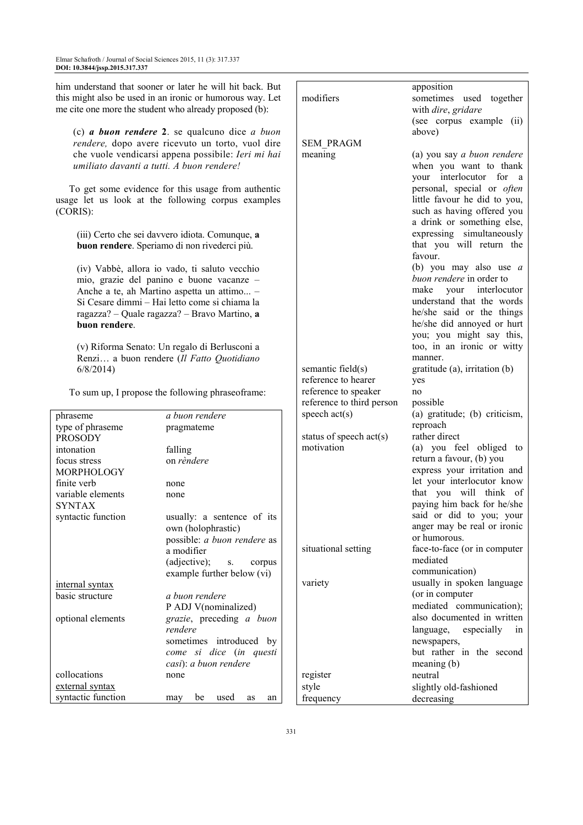| him understand that sooner or later he will hit back. But<br>this might also be used in an ironic or humorous way. Let<br>me cite one more the student who already proposed (b): |                                                                                            | modifiers                 | apposition<br>sometimes used together<br>with dire, gridare |
|----------------------------------------------------------------------------------------------------------------------------------------------------------------------------------|--------------------------------------------------------------------------------------------|---------------------------|-------------------------------------------------------------|
|                                                                                                                                                                                  |                                                                                            |                           | (see corpus example (ii)<br>above)                          |
| (c) $a$ buon rendere 2. se qualcuno dice $a$ buon<br>rendere, dopo avere ricevuto un torto, vuol dire                                                                            |                                                                                            | <b>SEM PRAGM</b>          |                                                             |
|                                                                                                                                                                                  | che vuole vendicarsi appena possibile: Ieri mi hai                                         | meaning                   | (a) you say a buon rendere                                  |
| umiliato davanti a tutti. A buon rendere!                                                                                                                                        |                                                                                            |                           | when you want to thank                                      |
|                                                                                                                                                                                  |                                                                                            |                           | your interlocutor for a                                     |
|                                                                                                                                                                                  | To get some evidence for this usage from authentic                                         |                           | personal, special or often                                  |
|                                                                                                                                                                                  | usage let us look at the following corpus examples                                         |                           | little favour he did to you,                                |
| (CORIS):                                                                                                                                                                         |                                                                                            |                           | such as having offered you                                  |
|                                                                                                                                                                                  |                                                                                            |                           | a drink or something else,                                  |
|                                                                                                                                                                                  | (iii) Certo che sei davvero idiota. Comunque, a                                            |                           | expressing simultaneously                                   |
|                                                                                                                                                                                  | buon rendere. Speriamo di non rivederci più.                                               |                           | that you will return the                                    |
|                                                                                                                                                                                  |                                                                                            |                           | favour.                                                     |
|                                                                                                                                                                                  | (iv) Vabbè, allora io vado, ti saluto vecchio                                              |                           | (b) you may also use $a$                                    |
|                                                                                                                                                                                  | mio, grazie del panino e buone vacanze -                                                   |                           | buon rendere in order to                                    |
|                                                                                                                                                                                  | Anche a te, ah Martino aspetta un attimo -                                                 |                           | interlocutor<br>make your                                   |
|                                                                                                                                                                                  | Si Cesare dimmi - Hai letto come si chiama la                                              |                           | understand that the words                                   |
|                                                                                                                                                                                  | ragazza? - Quale ragazza? - Bravo Martino, a                                               |                           | he/she said or the things                                   |
| buon rendere.                                                                                                                                                                    |                                                                                            |                           | he/she did annoyed or hurt                                  |
|                                                                                                                                                                                  |                                                                                            |                           | you; you might say this,<br>too, in an ironic or witty      |
|                                                                                                                                                                                  | (v) Riforma Senato: Un regalo di Berlusconi a<br>Renzi a buon rendere (Il Fatto Quotidiano |                           | manner.                                                     |
| 6/8/2014                                                                                                                                                                         |                                                                                            | semantic field(s)         | gratitude $(a)$ , irritation $(b)$                          |
|                                                                                                                                                                                  |                                                                                            | reference to hearer       | yes                                                         |
|                                                                                                                                                                                  | To sum up, I propose the following phraseoframe:                                           | reference to speaker      | no                                                          |
|                                                                                                                                                                                  |                                                                                            | reference to third person | possible                                                    |
| phraseme                                                                                                                                                                         | a buon rendere                                                                             | speech $act(s)$           | (a) gratitude; (b) criticism,                               |
| type of phraseme                                                                                                                                                                 | pragmateme                                                                                 |                           | reproach                                                    |
| <b>PROSODY</b>                                                                                                                                                                   |                                                                                            | status of speech $act(s)$ | rather direct                                               |
| intonation                                                                                                                                                                       | falling                                                                                    | motivation                | (a) you feel obliged to                                     |
| focus stress                                                                                                                                                                     | on rèndere                                                                                 |                           | return a favour, (b) you                                    |
| MORPHOLOGY                                                                                                                                                                       |                                                                                            |                           | express your irritation and                                 |
| finite verb                                                                                                                                                                      | none                                                                                       |                           | let your interlocutor know                                  |
| variable elements                                                                                                                                                                | none                                                                                       |                           | that you will think of                                      |
| <b>SYNTAX</b>                                                                                                                                                                    |                                                                                            |                           | paying him back for he/she<br>said or did to you; your      |
| syntactic function                                                                                                                                                               | usually: a sentence of its                                                                 |                           | anger may be real or ironic                                 |
|                                                                                                                                                                                  | own (holophrastic)<br>possible: a buon rendere as                                          |                           | or humorous.                                                |
|                                                                                                                                                                                  | a modifier                                                                                 | situational setting       | face-to-face (or in computer                                |
|                                                                                                                                                                                  | (adjective);<br>corpus<br>S.                                                               |                           | mediated                                                    |
|                                                                                                                                                                                  | example further below (vi)                                                                 |                           | communication)                                              |
| internal syntax                                                                                                                                                                  |                                                                                            | variety                   | usually in spoken language                                  |
| basic structure                                                                                                                                                                  | a buon rendere                                                                             |                           | (or in computer                                             |
|                                                                                                                                                                                  | P ADJ V(nominalized)                                                                       |                           | mediated communication);                                    |
| optional elements                                                                                                                                                                | grazie, preceding a buon                                                                   |                           | also documented in written                                  |
|                                                                                                                                                                                  | rendere                                                                                    |                           | language,<br>especially<br>ın                               |
|                                                                                                                                                                                  | sometimes introduced by                                                                    |                           | newspapers,                                                 |
|                                                                                                                                                                                  | come si dice (in questi                                                                    |                           | but rather in the second                                    |
|                                                                                                                                                                                  | casi): a buon rendere                                                                      |                           | meaning (b)                                                 |
| collocations                                                                                                                                                                     | none                                                                                       | register                  | neutral                                                     |
| external syntax                                                                                                                                                                  |                                                                                            | style                     | slightly old-fashioned                                      |
| syntactic function                                                                                                                                                               | be<br>used<br>may<br>as<br>an                                                              | frequency                 | decreasing                                                  |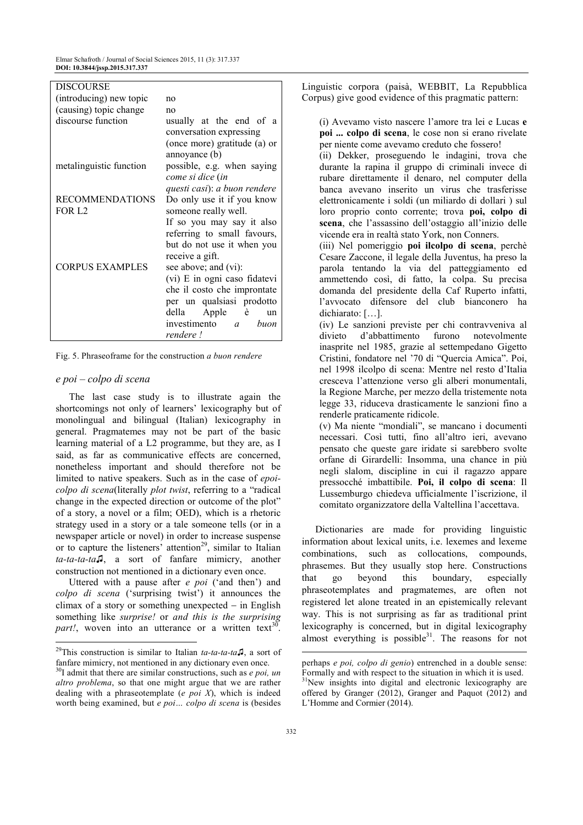| DISCOURSE               |                               |  |
|-------------------------|-------------------------------|--|
| (introducing) new topic | no                            |  |
| (causing) topic change  | no                            |  |
| discourse function      | usually at the end of a       |  |
|                         | conversation expressing       |  |
|                         | (once more) gratitude (a) or  |  |
|                         | annoyance (b)                 |  |
| metalinguistic function | possible, e.g. when saying    |  |
|                         | come si dice (in              |  |
|                         | questi casi): a buon rendere  |  |
| <b>RECOMMENDATIONS</b>  | Do only use it if you know    |  |
| FOR L <sub>2</sub>      | someone really well.          |  |
|                         | If so you may say it also     |  |
|                         | referring to small favours,   |  |
|                         | but do not use it when you    |  |
|                         | receive a gift.               |  |
| <b>CORPUS EXAMPLES</b>  | see above; and (vi):          |  |
|                         | (vi) E in ogni caso fidatevi  |  |
|                         | che il costo che improntate   |  |
|                         | per un qualsiasi prodotto     |  |
|                         | della Apple è<br>un           |  |
|                         | investimento <i>a</i><br>buon |  |
|                         | rendere!                      |  |

Fig. 5. Phraseoframe for the construction *a buon rendere* 

#### *e poi – colpo di scena*

l

The last case study is to illustrate again the shortcomings not only of learners' lexicography but of monolingual and bilingual (Italian) lexicography in general. Pragmatemes may not be part of the basic learning material of a L2 programme, but they are, as I said, as far as communicative effects are concerned, nonetheless important and should therefore not be limited to native speakers. Such as in the case of *epoicolpo di scena*(literally *plot twist*, referring to a "radical change in the expected direction or outcome of the plot" of a story, a novel or a film; OED), which is a rhetoric strategy used in a story or a tale someone tells (or in a newspaper article or novel) in order to increase suspense or to capture the listeners' attention<sup>29</sup>, similar to Italian *ta-ta-ta-ta*♫, a sort of fanfare mimicry, another construction not mentioned in a dictionary even once.

Uttered with a pause after *e poi* ('and then') and *colpo di scena* ('surprising twist') it announces the climax of a story or something unexpected − in English something like *surprise!* or *and this is the surprising*  part!, woven into an utterance or a written text<sup>30</sup>. Linguistic corpora (paisà, WEBBIT, La Repubblica Corpus) give good evidence of this pragmatic pattern:

 (i) Avevamo visto nascere l'amore tra lei e Lucas **e poi ... colpo di scena**, le cose non si erano rivelate per niente come avevamo creduto che fossero!

(ii) Dekker, proseguendo le indagini, trova che durante la rapina il gruppo di criminali invece di rubare direttamente il denaro, nel computer della banca avevano inserito un virus che trasferisse elettronicamente i soldi (un miliardo di dollari ) sul loro proprio conto corrente; trova **poi, colpo di scena**, che l'assassino dell'ostaggio all'inizio delle vicende era in realtà stato York, non Conners.

(iii) Nel pomeriggio **poi ilcolpo di scena**, perchè Cesare Zaccone, il legale della Juventus, ha preso la parola tentando la via del patteggiamento ed ammettendo così, di fatto, la colpa. Su precisa domanda del presidente della Caf Ruperto infatti, l'avvocato difensore del club bianconero ha dichiarato: […].

(iv) Le sanzioni previste per chi contravveniva al divieto d'abbattimento furono notevolmente inasprite nel 1985, grazie al settempedano Gigetto Cristini, fondatore nel '70 di "Quercia Amica". Poi, nel 1998 ilcolpo di scena: Mentre nel resto d'Italia cresceva l'attenzione verso gli alberi monumentali, la Regione Marche, per mezzo della tristemente nota legge 33, riduceva drasticamente le sanzioni fino a renderle praticamente ridicole.

(v) Ma niente "mondiali", se mancano i documenti necessari. Così tutti, fino all'altro ieri, avevano pensato che queste gare iridate si sarebbero svolte orfane di Girardelli: Insomma, una chance in più negli slalom, discipline in cui il ragazzo appare pressocché imbattibile. **Poi, il colpo di scena**: Il Lussemburgo chiedeva ufficialmente l'iscrizione, il comitato organizzatore della Valtellina l'accettava.

Dictionaries are made for providing linguistic information about lexical units, i.e. lexemes and lexeme combinations, such as collocations, compounds, phrasemes. But they usually stop here. Constructions that go beyond this boundary, especially phraseotemplates and pragmatemes, are often not registered let alone treated in an epistemically relevant way. This is not surprising as far as traditional print lexicography is concerned, but in digital lexicography almost everything is possible $31$ . The reasons for not  $\overline{a}$ 

<sup>29</sup>This construction is similar to Italian *ta-ta-ta-ta♫*, a sort of fanfare mimicry, not mentioned in any dictionary even once.

<sup>30</sup>I admit that there are similar constructions, such as *e poi, un altro problema*, so that one might argue that we are rather dealing with a phraseotemplate (*e poi X*), which is indeed worth being examined, but *e poi… colpo di scena* is (besides

perhaps *e poi, colpo di genio*) entrenched in a double sense: Formally and with respect to the situation in which it is used.

<sup>&</sup>lt;sup>31</sup>New insights into digital and electronic lexicography are offered by Granger (2012), Granger and Paquot (2012) and L'Homme and Cormier (2014).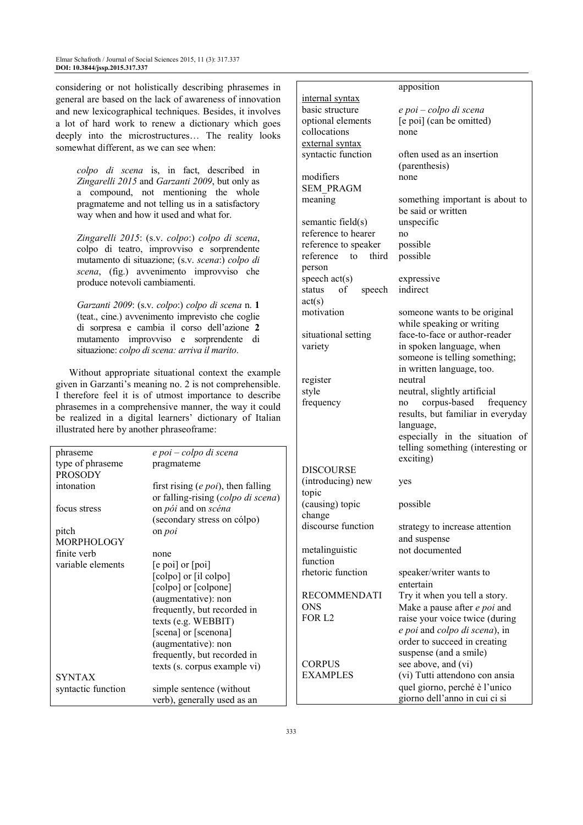considering or not holistically describing phrasemes in general are based on the lack of awareness of innovation and new lexicographical techniques. Besides, it involves a lot of hard work to renew a dictionary which goes deeply into the microstructures… The reality looks somewhat different, as we can see when:

*colpo di scena* is, in fact, described in *Zingarelli 2015* and *Garzanti 2009*, but only as a compound, not mentioning the whole pragmateme and not telling us in a satisfactory way when and how it used and what for.

*Zingarelli 2015*: (s.v. *colpo*:) *colpo di scena*, colpo di teatro, improvviso e sorprendente mutamento di situazione; (s.v. *scena*:) *colpo di scena*, (fig.) avvenimento improvviso che produce notevoli cambiamenti.

*Garzanti 2009*: (s.v. *colpo*:) *colpo di scena* n. **1** (teat., cine.) avvenimento imprevisto che coglie di sorpresa e cambia il corso dell'azione **2** mutamento improvviso e sorprendente di situazione: *colpo di scena: arriva il marito*.

Without appropriate situational context the example given in Garzanti's meaning no. 2 is not comprehensible. I therefore feel it is of utmost importance to describe phrasemes in a comprehensive manner, the way it could be realized in a digital learners' dictionary of Italian illustrated here by another phraseoframe:

| e poi – colpo di scena<br>phraseme<br>type of phraseme<br>pragmateme<br><b>DISCOURSE</b><br><b>PROSODY</b><br>(introducing) new<br>intonation<br>first rising $(e \, \text{poi})$ , then falling<br>topic<br>or falling-rising (colpo di scena)<br>(causing) topic<br>on pói and on scéna<br>focus stress<br>change<br>(secondary stress on cólpo)<br>discourse function<br>pitch<br>on <i>poi</i><br><b>MORPHOLOGY</b><br>metalinguistic<br>finite verb<br>none<br>function<br>variable elements<br>$[e \text{ poi}]$ or $[poi]$<br>rhetoric function<br>[colpo] or [il colpo]<br>[colpo] or [colpone]<br><b>RECOMMENDATI</b><br>(augmentative): non<br><b>ONS</b><br>frequently, but recorded in<br>FOR L <sub>2</sub><br>texts (e.g. WEBBIT)<br>[scena] or [scenona]<br>(augmentative): non<br>frequently, but recorded in<br><b>CORPUS</b><br>texts (s. corpus example vi)<br><b>EXAMPLES</b><br><b>SYNTAX</b><br>syntactic function<br>simple sentence (without<br>verb), generally used as an |  |  |
|-----------------------------------------------------------------------------------------------------------------------------------------------------------------------------------------------------------------------------------------------------------------------------------------------------------------------------------------------------------------------------------------------------------------------------------------------------------------------------------------------------------------------------------------------------------------------------------------------------------------------------------------------------------------------------------------------------------------------------------------------------------------------------------------------------------------------------------------------------------------------------------------------------------------------------------------------------------------------------------------------------|--|--|
|                                                                                                                                                                                                                                                                                                                                                                                                                                                                                                                                                                                                                                                                                                                                                                                                                                                                                                                                                                                                     |  |  |
|                                                                                                                                                                                                                                                                                                                                                                                                                                                                                                                                                                                                                                                                                                                                                                                                                                                                                                                                                                                                     |  |  |
|                                                                                                                                                                                                                                                                                                                                                                                                                                                                                                                                                                                                                                                                                                                                                                                                                                                                                                                                                                                                     |  |  |
|                                                                                                                                                                                                                                                                                                                                                                                                                                                                                                                                                                                                                                                                                                                                                                                                                                                                                                                                                                                                     |  |  |
|                                                                                                                                                                                                                                                                                                                                                                                                                                                                                                                                                                                                                                                                                                                                                                                                                                                                                                                                                                                                     |  |  |
|                                                                                                                                                                                                                                                                                                                                                                                                                                                                                                                                                                                                                                                                                                                                                                                                                                                                                                                                                                                                     |  |  |
|                                                                                                                                                                                                                                                                                                                                                                                                                                                                                                                                                                                                                                                                                                                                                                                                                                                                                                                                                                                                     |  |  |
|                                                                                                                                                                                                                                                                                                                                                                                                                                                                                                                                                                                                                                                                                                                                                                                                                                                                                                                                                                                                     |  |  |
|                                                                                                                                                                                                                                                                                                                                                                                                                                                                                                                                                                                                                                                                                                                                                                                                                                                                                                                                                                                                     |  |  |
|                                                                                                                                                                                                                                                                                                                                                                                                                                                                                                                                                                                                                                                                                                                                                                                                                                                                                                                                                                                                     |  |  |
|                                                                                                                                                                                                                                                                                                                                                                                                                                                                                                                                                                                                                                                                                                                                                                                                                                                                                                                                                                                                     |  |  |
|                                                                                                                                                                                                                                                                                                                                                                                                                                                                                                                                                                                                                                                                                                                                                                                                                                                                                                                                                                                                     |  |  |
|                                                                                                                                                                                                                                                                                                                                                                                                                                                                                                                                                                                                                                                                                                                                                                                                                                                                                                                                                                                                     |  |  |
|                                                                                                                                                                                                                                                                                                                                                                                                                                                                                                                                                                                                                                                                                                                                                                                                                                                                                                                                                                                                     |  |  |
|                                                                                                                                                                                                                                                                                                                                                                                                                                                                                                                                                                                                                                                                                                                                                                                                                                                                                                                                                                                                     |  |  |
|                                                                                                                                                                                                                                                                                                                                                                                                                                                                                                                                                                                                                                                                                                                                                                                                                                                                                                                                                                                                     |  |  |
|                                                                                                                                                                                                                                                                                                                                                                                                                                                                                                                                                                                                                                                                                                                                                                                                                                                                                                                                                                                                     |  |  |
|                                                                                                                                                                                                                                                                                                                                                                                                                                                                                                                                                                                                                                                                                                                                                                                                                                                                                                                                                                                                     |  |  |
|                                                                                                                                                                                                                                                                                                                                                                                                                                                                                                                                                                                                                                                                                                                                                                                                                                                                                                                                                                                                     |  |  |
|                                                                                                                                                                                                                                                                                                                                                                                                                                                                                                                                                                                                                                                                                                                                                                                                                                                                                                                                                                                                     |  |  |
|                                                                                                                                                                                                                                                                                                                                                                                                                                                                                                                                                                                                                                                                                                                                                                                                                                                                                                                                                                                                     |  |  |
|                                                                                                                                                                                                                                                                                                                                                                                                                                                                                                                                                                                                                                                                                                                                                                                                                                                                                                                                                                                                     |  |  |
|                                                                                                                                                                                                                                                                                                                                                                                                                                                                                                                                                                                                                                                                                                                                                                                                                                                                                                                                                                                                     |  |  |

#### apposition

internal syntax

external syntax

SEM\_PRAGM

reference to third

status of speech

person

 $act(s)$ 

basic structure *e poi – colpo di scena* optional elements [e poi] (can be omitted) collocations none

syntactic function often used as an insertion (parenthesis) modifiers none

meaning something important is about to be said or written semantic field(s) unspecific reference to hearer no reference to speaker possible possible

speech act(s) expressive indirect

motivation someone wants to be original while speaking or writing situational setting face-to-face or author-reader variety in spoken language, when someone is telling something; in written language, too. register neutral style neutral, slightly artificial<br>frequency no corpus-based fre frequency no corpus-based frequency results, but familiar in everyday language, especially in the situation of telling something (interesting or exciting)

yes

possible

n strategy to increase attention and suspense not documented

> speaker/writer wants to entertain Try it when you tell a story. Make a pause after *e poi* and raise your voice twice (during

*e poi* and *colpo di scena*), in order to succeed in creating suspense (and a smile) see above, and (vi) (vi) Tutti attendono con ansia quel giorno, perché è l'unico giorno dell'anno in cui ci si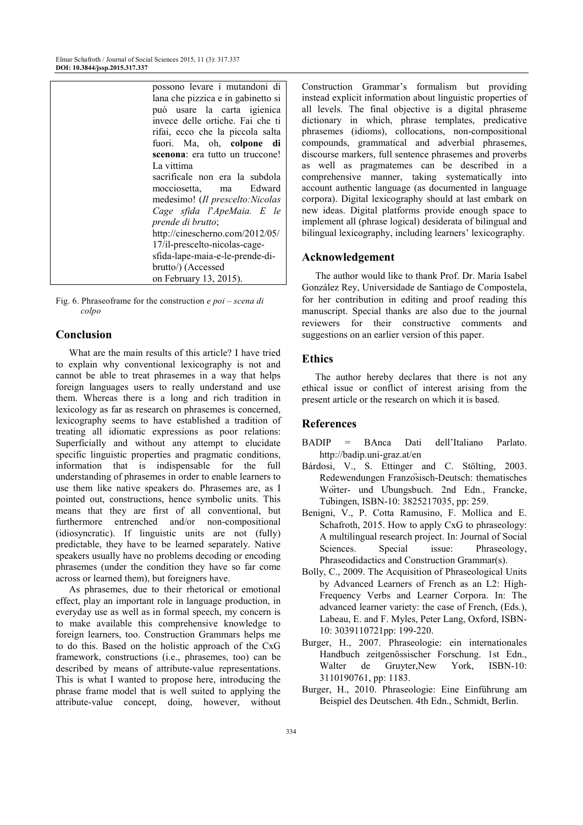| possono levare i mutandoni di      |
|------------------------------------|
| lana che pizzica e in gabinetto si |
| può usare la carta igienica        |
| invece delle ortiche. Fai che ti   |
| rifai, ecco che la piccola salta   |
| fuori. Ma, oh, colpone di          |
| scenona: era tutto un truccone!    |
| La vittima                         |
| sacrificale non era la subdola     |
| mocciosetta, ma Edward             |
| medesimo! (Il prescelto:Nicolas    |
| Cage sfida l'ApeMaia. E le         |
| prende di brutto;                  |
| http://cinescherno.com/2012/05/    |
| 17/il-prescelto-nicolas-cage-      |
| sfida-lape-maia-e-le-prende-di-    |
| brutto/) (Accessed                 |
| on February 13, 2015).             |

Fig. 6. Phraseoframe for the construction *e poi – scena di colpo* 

# **Conclusion**

What are the main results of this article? I have tried to explain why conventional lexicography is not and cannot be able to treat phrasemes in a way that helps foreign languages users to really understand and use them. Whereas there is a long and rich tradition in lexicology as far as research on phrasemes is concerned, lexicography seems to have established a tradition of treating all idiomatic expressions as poor relations: Superficially and without any attempt to elucidate specific linguistic properties and pragmatic conditions, information that is indispensable for the full understanding of phrasemes in order to enable learners to use them like native speakers do. Phrasemes are, as I pointed out, constructions, hence symbolic units. This means that they are first of all conventional, but furthermore entrenched and/or non-compositional (idiosyncratic). If linguistic units are not (fully) predictable, they have to be learned separately. Native speakers usually have no problems decoding or encoding phrasemes (under the condition they have so far come across or learned them), but foreigners have.

As phrasemes, due to their rhetorical or emotional effect, play an important role in language production, in everyday use as well as in formal speech, my concern is to make available this comprehensive knowledge to foreign learners, too. Construction Grammars helps me to do this. Based on the holistic approach of the CxG framework, constructions (i.e., phrasemes, too) can be described by means of attribute-value representations. This is what I wanted to propose here, introducing the phrase frame model that is well suited to applying the attribute-value concept, doing, however, without

Construction Grammar's formalism but providing instead explicit information about linguistic properties of all levels. The final objective is a digital phraseme dictionary in which, phrase templates, predicative phrasemes (idioms), collocations, non-compositional compounds, grammatical and adverbial phrasemes, discourse markers, full sentence phrasemes and proverbs as well as pragmatemes can be described in a comprehensive manner, taking systematically into account authentic language (as documented in language corpora). Digital lexicography should at last embark on new ideas. Digital platforms provide enough space to implement all (phrase logical) desiderata of bilingual and bilingual lexicography, including learners' lexicography.

#### **Acknowledgement**

The author would like to thank Prof. Dr. María Isabel González Rey, Universidade de Santiago de Compostela, for her contribution in editing and proof reading this manuscript. Special thanks are also due to the journal reviewers for their constructive comments and suggestions on an earlier version of this paper.

# **Ethics**

The author hereby declares that there is not any ethical issue or conflict of interest arising from the present article or the research on which it is based.

## **References**

- BADIP = BAnca Dati dell'Italiano Parlato. http://badip.uni-graz.at/en
- Bárdosi, V., S. Ettinger and C. Stölting, 2003. Redewendungen Französisch-Deutsch: thematisches Worter- und Ubungsbuch. 2nd Edn., Francke, Tubingen, ISBN-10: 3825217035, pp: 259. ̈
- Benigni, V., P. Cotta Ramusino, F. Mollica and E. Schafroth, 2015. How to apply CxG to phraseology: A multilingual research project. In: Journal of Social Sciences. Special issue: Phraseology, Phraseodidactics and Construction Grammar(s).
- Bolly, C., 2009. The Acquisition of Phraseological Units by Advanced Learners of French as an L2: High-Frequency Verbs and Learner Corpora. In: The advanced learner variety: the case of French, (Eds.), Labeau, E. and F. Myles, Peter Lang, Oxford, ISBN-10: 3039110721pp: 199-220.
- Burger, H., 2007. Phraseologie: ein internationales Handbuch zeitgenössischer Forschung. 1st Edn., Walter de Gruyter,New York, ISBN-10: 3110190761, pp: 1183.
- Burger, H., 2010. Phraseologie: Eine Einführung am Beispiel des Deutschen. 4th Edn., Schmidt, Berlin.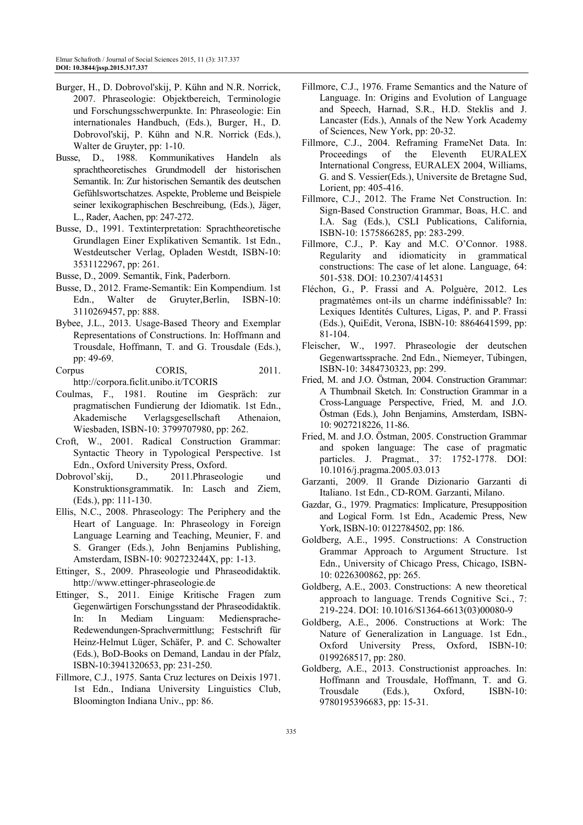- Burger, H., D. Dobrovol'skij, P. Kühn and N.R. Norrick, 2007. Phraseologie: Objektbereich, Terminologie und Forschungsschwerpunkte. In: Phraseologie: Ein internationales Handbuch, (Eds.), Burger, H., D. Dobrovol'skij, P. Kühn and N.R. Norrick (Eds.), Walter de Gruyter, pp: 1-10.
- Busse, D., 1988. Kommunikatives Handeln als sprachtheoretisches Grundmodell der historischen Semantik. In: Zur historischen Semantik des deutschen Gefühlswortschatzes. Aspekte, Probleme und Beispiele seiner lexikographischen Beschreibung, (Eds.), Jäger, L., Rader, Aachen, pp: 247-272.
- Busse, D., 1991. Textinterpretation: Sprachtheoretische Grundlagen Einer Explikativen Semantik. 1st Edn., Westdeutscher Verlag, Opladen Westdt, ISBN-10: 3531122967, pp: 261.
- Busse, D., 2009. Semantik, Fink, Paderborn.
- Busse, D., 2012. Frame-Semantik: Ein Kompendium. 1st Edn., Walter de Gruyter,Berlin, ISBN-10: 3110269457, pp: 888.
- Bybee, J.L., 2013. Usage-Based Theory and Exemplar Representations of Constructions. In: Hoffmann and Trousdale, Hoffmann, T. and G. Trousdale (Eds.), pp: 49-69.
- Corpus CORIS, 2011. http://corpora.ficlit.unibo.it/TCORIS
- Coulmas, F., 1981. Routine im Gespräch: zur pragmatischen Fundierung der Idiomatik. 1st Edn., Akademische Verlagsgesellschaft Athenaion, Wiesbaden, ISBN-10: 3799707980, pp: 262.
- Croft, W., 2001. Radical Construction Grammar: Syntactic Theory in Typological Perspective. 1st Edn., Oxford University Press, Oxford.
- Dobrovol'skij, D., 2011.Phraseologie und Konstruktionsgrammatik. In: Lasch and Ziem, (Eds.), pp: 111-130.
- Ellis, N.C., 2008. Phraseology: The Periphery and the Heart of Language. In: Phraseology in Foreign Language Learning and Teaching, Meunier, F. and S. Granger (Eds.), John Benjamins Publishing, Amsterdam, ISBN-10: 902723244X, pp: 1-13.
- Ettinger, S., 2009. Phraseologie und Phraseodidaktik. http://www.ettinger-phraseologie.de
- Ettinger, S., 2011. Einige Kritische Fragen zum Gegenwärtigen Forschungsstand der Phraseodidaktik. In: In Mediam Linguam: Mediensprache-Redewendungen-Sprachvermittlung; Festschrift für Heinz-Helmut Lüger, Schäfer, P. and C. Schowalter (Eds.), BoD-Books on Demand, Landau in der Pfalz, ISBN-10:3941320653, pp: 231-250.
- Fillmore, C.J., 1975. Santa Cruz lectures on Deixis 1971. 1st Edn., Indiana University Linguistics Club, Bloomington Indiana Univ., pp: 86.
- Fillmore, C.J., 1976. Frame Semantics and the Nature of Language. In: Origins and Evolution of Language and Speech, Harnad, S.R., H.D. Steklis and J. Lancaster (Eds.), Annals of the New York Academy of Sciences, New York, pp: 20-32.
- Fillmore, C.J., 2004. Reframing FrameNet Data. In: Proceedings of the Eleventh EURALEX International Congress, EURALEX 2004, Williams, G. and S. Vessier(Eds.), Universite de Bretagne Sud, Lorient, pp: 405-416.
- Fillmore, C.J., 2012. The Frame Net Construction. In: Sign-Based Construction Grammar, Boas, H.C. and I.A. Sag (Eds.), CSLI Publications, California, ISBN-10: 1575866285, pp: 283-299.
- Fillmore, C.J., P. Kay and M.C. O'Connor. 1988. Regularity and idiomaticity in grammatical constructions: The case of let alone. Language, 64: 501-538. DOI: 10.2307/414531
- Fléchon, G., P. Frassi and A. Polguère, 2012. Les pragmatèmes ont-ils un charme indéfinissable? In: Lexiques Identités Cultures, Ligas, P. and P. Frassi (Eds.), QuiEdit, Verona, ISBN-10: 8864641599, pp: 81-104.
- Fleischer, W., 1997. Phraseologie der deutschen Gegenwartssprache. 2nd Edn., Niemeyer, Tubingen, ̈ ISBN-10: 3484730323, pp: 299.
- Fried, M. and J.O. Östman, 2004. Construction Grammar: A Thumbnail Sketch. In: Construction Grammar in a Cross-Language Perspective, Fried, M. and J.O. Östman (Eds.), John Benjamins, Amsterdam, ISBN-10: 9027218226, 11-86.
- Fried, M. and J.O. Östman, 2005. Construction Grammar and spoken language: The case of pragmatic particles. J. Pragmat., 37: 1752-1778. DOI: 10.1016/j.pragma.2005.03.013
- Garzanti, 2009. Il Grande Dizionario Garzanti di Italiano. 1st Edn., CD-ROM. Garzanti, Milano.
- Gazdar, G., 1979. Pragmatics: Implicature, Presupposition and Logical Form. 1st Edn., Academic Press, New York, ISBN-10: 0122784502, pp: 186.
- Goldberg, A.E., 1995. Constructions: A Construction Grammar Approach to Argument Structure. 1st Edn., University of Chicago Press, Chicago, ISBN-10: 0226300862, pp: 265.
- Goldberg, A.E., 2003. Constructions: A new theoretical approach to language. Trends Cognitive Sci., 7: 219-224. DOI: 10.1016/S1364-6613(03)00080-9
- Goldberg, A.E., 2006. Constructions at Work: The Nature of Generalization in Language. 1st Edn., Oxford University Press, Oxford, ISBN-10: 0199268517, pp: 280.
- Goldberg, A.E., 2013. Constructionist approaches. In: Hoffmann and Trousdale, Hoffmann, T. and G. Trousdale (Eds.), Oxford, ISBN-10: 9780195396683, pp: 15-31.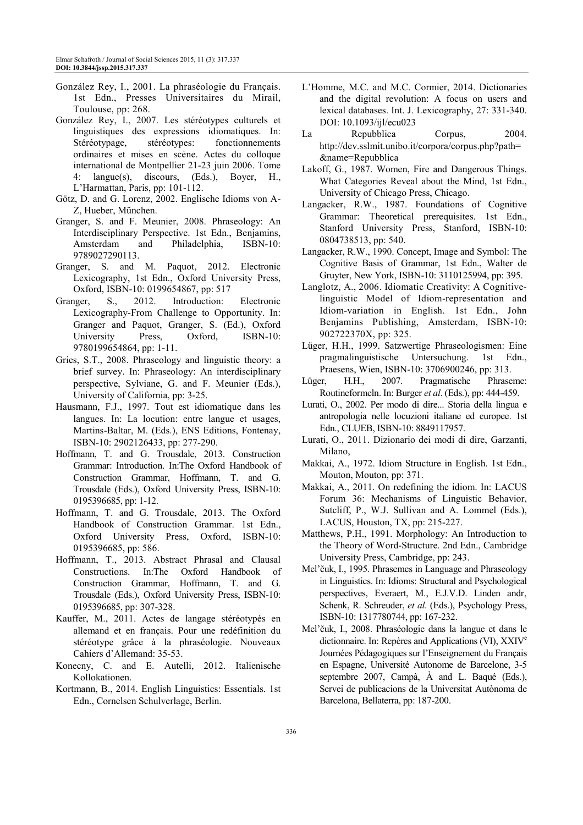- González Rey, I., 2001. La phraséologie du Français. 1st Edn., Presses Universitaires du Mirail, Toulouse, pp: 268.
- González Rey, I., 2007. Les stéréotypes culturels et linguistiques des expressions idiomatiques. In: Stéréotypage, stéréotypes: fonctionnements ordinaires et mises en scène. Actes du colloque international de Montpellier 21-23 juin 2006. Tome 4: langue(s), discours, (Eds.), Boyer, H., L'Harmattan, Paris, pp: 101-112.
- Götz, D. and G. Lorenz, 2002. Englische Idioms von A-Z, Hueber, München.
- Granger, S. and F. Meunier, 2008. Phraseology: An Interdisciplinary Perspective. 1st Edn., Benjamins, Amsterdam and Philadelphia, ISBN-10: 9789027290113.
- Granger, S. and M. Paquot, 2012. Electronic Lexicography, 1st Edn., Oxford University Press, Oxford, ISBN-10: 0199654867, pp: 517
- Granger, S., 2012. Introduction: Electronic Lexicography-From Challenge to Opportunity. In: Granger and Paquot, Granger, S. (Ed.), Oxford University Press, Oxford, ISBN-10: 9780199654864, pp: 1-11.
- Gries, S.T., 2008. Phraseology and linguistic theory: a brief survey. In: Phraseology: An interdisciplinary perspective, Sylviane, G. and F. Meunier (Eds.), University of California, pp: 3-25.
- Hausmann, F.J., 1997. Tout est idiomatique dans les langues. In: La locution: entre langue et usages, Martins-Baltar, M. (Eds.), ENS Editions, Fontenay, ISBN-10: 2902126433, pp: 277-290.
- Hoffmann, T. and G. Trousdale, 2013. Construction Grammar: Introduction. In:The Oxford Handbook of Construction Grammar, Hoffmann, T. and G. Trousdale (Eds.), Oxford University Press, ISBN-10: 0195396685, pp: 1-12.
- Hoffmann, T. and G. Trousdale, 2013. The Oxford Handbook of Construction Grammar. 1st Edn., Oxford University Press, Oxford, ISBN-10: 0195396685, pp: 586.
- Hoffmann, T., 2013. Abstract Phrasal and Clausal Constructions. In:The Oxford Handbook of Construction Grammar, Hoffmann, T. and G. Trousdale (Eds.), Oxford University Press, ISBN-10: 0195396685, pp: 307-328.
- Kauffer, M., 2011. Actes de langage stéréotypés en allemand et en français. Pour une redéfinition du stéréotype grâce à la phraséologie. Nouveaux Cahiers d'Allemand: 35-53.
- Konecny, C. and E. Autelli, 2012. Italienische Kollokationen.
- Kortmann, B., 2014. English Linguistics: Essentials. 1st Edn., Cornelsen Schulverlage, Berlin.
- L'Homme, M.C. and M.C. Cormier, 2014. Dictionaries and the digital revolution: A focus on users and lexical databases. Int. J. Lexicography, 27: 331-340. DOI: 10.1093/ijl/ecu023
- La Repubblica Corpus, 2004. http://dev.sslmit.unibo.it/corpora/corpus.php?path= &name=Repubblica
- Lakoff, G., 1987. Women, Fire and Dangerous Things. What Categories Reveal about the Mind, 1st Edn., University of Chicago Press, Chicago.
- Langacker, R.W., 1987. Foundations of Cognitive Grammar: Theoretical prerequisites. 1st Edn., Stanford University Press, Stanford, ISBN-10: 0804738513, pp: 540.
- Langacker, R.W., 1990. Concept, Image and Symbol: The Cognitive Basis of Grammar, 1st Edn., Walter de Gruyter, New York, ISBN-10: 3110125994, pp: 395.
- Langlotz, A., 2006. Idiomatic Creativity: A Cognitivelinguistic Model of Idiom-representation and Idiom-variation in English. 1st Edn., John Benjamins Publishing, Amsterdam, ISBN-10: 902722370X, pp: 325.
- Lüger, H.H., 1999. Satzwertige Phraseologismen: Eine pragmalinguistische Untersuchung. 1st Edn., Praesens, Wien, ISBN-10: 3706900246, pp: 313.
- Lüger, H.H., 2007. Pragmatische Phraseme: Routineformeln. In: Burger *et al*. (Eds.), pp: 444-459.
- Lurati, O., 2002. Per modo di dire... Storia della lingua e antropologia nelle locuzioni italiane ed europee. 1st Edn., CLUEB, ISBN-10: 8849117957.
- Lurati, O., 2011. Dizionario dei modi di dire, Garzanti, Milano,
- Makkai, A., 1972. Idiom Structure in English. 1st Edn., Mouton, Mouton, pp: 371.
- Makkai, A., 2011. On redefining the idiom. In: LACUS Forum 36: Mechanisms of Linguistic Behavior, Sutcliff, P., W.J. Sullivan and A. Lommel (Eds.), LACUS, Houston, TX, pp: 215-227.
- Matthews, P.H., 1991. Morphology: An Introduction to the Theory of Word-Structure. 2nd Edn., Cambridge University Press, Cambridge, pp: 243.
- Mel'čuk, I., 1995. Phrasemes in Language and Phraseology in Linguistics. In: Idioms: Structural and Psychological perspectives, Everaert, M., E.J.V.D. Linden andr, Schenk, R. Schreuder, *et al*. (Eds.), Psychology Press, ISBN-10: 1317780744, pp: 167-232.
- Mel'čuk, I., 2008. Phraséologie dans la langue et dans le dictionnaire. In: Repères and Applications (VI), XXIV<sup>e</sup> Journées Pédagogiques sur l'Enseignement du Français en Espagne, Université Autonome de Barcelone, 3-5 septembre 2007, Campà, À and L. Baqué (Eds.), Servei de publicacions de la Universitat Autònoma de Barcelona, Bellaterra, pp: 187-200.